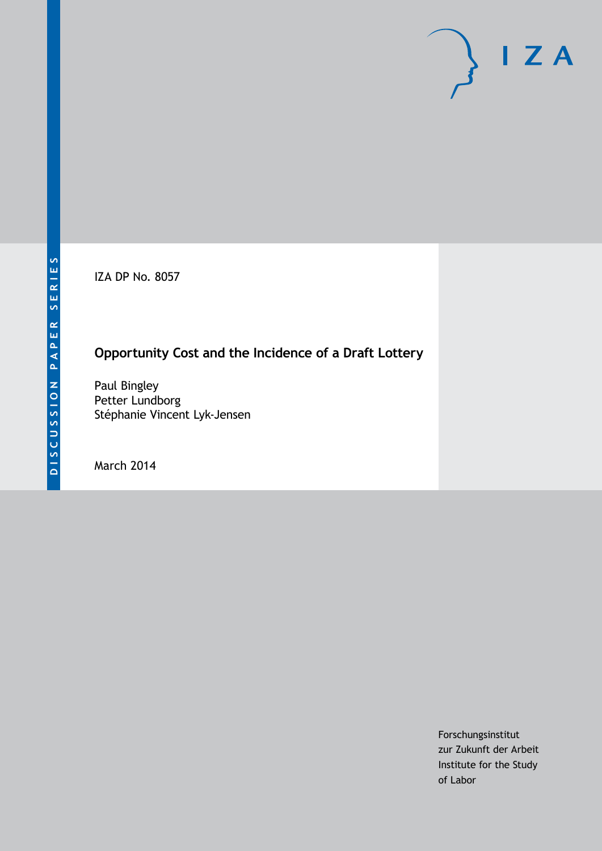IZA DP No. 8057

# **Opportunity Cost and the Incidence of a Draft Lottery**

Paul Bingley Petter Lundborg Stéphanie Vincent Lyk-Jensen

March 2014

Forschungsinstitut zur Zukunft der Arbeit Institute for the Study of Labor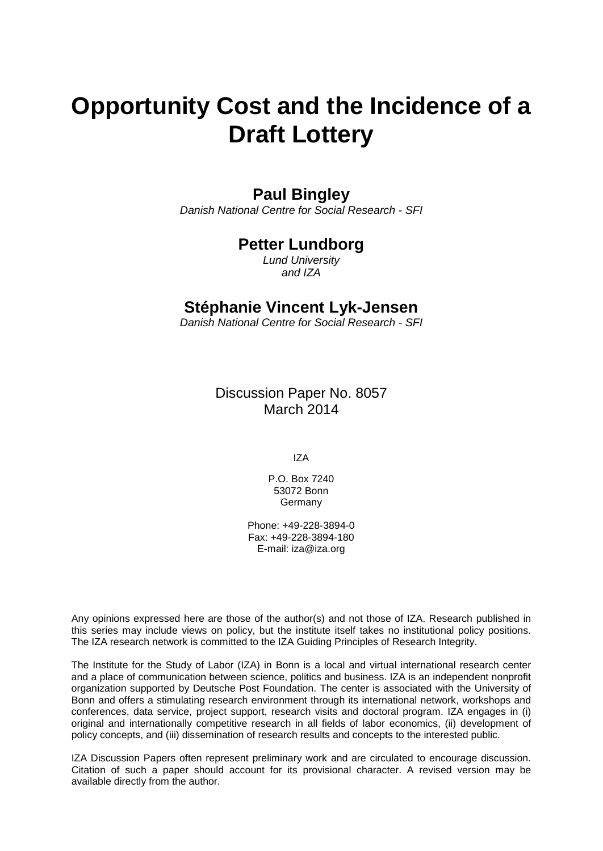# **Opportunity Cost and the Incidence of a Draft Lottery**

### **Paul Bingley**

*Danish National Centre for Social Research - SFI*

## **Petter Lundborg**

*Lund University and IZA*

### **Stéphanie Vincent Lyk-Jensen**

*Danish National Centre for Social Research - SFI*

Discussion Paper No. 8057 March 2014

IZA

P.O. Box 7240 53072 Bonn **Germany** 

Phone: +49-228-3894-0 Fax: +49-228-3894-180 E-mail: [iza@iza.org](mailto:iza@iza.org)

Any opinions expressed here are those of the author(s) and not those of IZA. Research published in this series may include views on policy, but the institute itself takes no institutional policy positions. The IZA research network is committed to the IZA Guiding Principles of Research Integrity.

The Institute for the Study of Labor (IZA) in Bonn is a local and virtual international research center and a place of communication between science, politics and business. IZA is an independent nonprofit organization supported by Deutsche Post Foundation. The center is associated with the University of Bonn and offers a stimulating research environment through its international network, workshops and conferences, data service, project support, research visits and doctoral program. IZA engages in (i) original and internationally competitive research in all fields of labor economics, (ii) development of policy concepts, and (iii) dissemination of research results and concepts to the interested public.

<span id="page-1-0"></span>IZA Discussion Papers often represent preliminary work and are circulated to encourage discussion. Citation of such a paper should account for its provisional character. A revised version may be available directly from the author.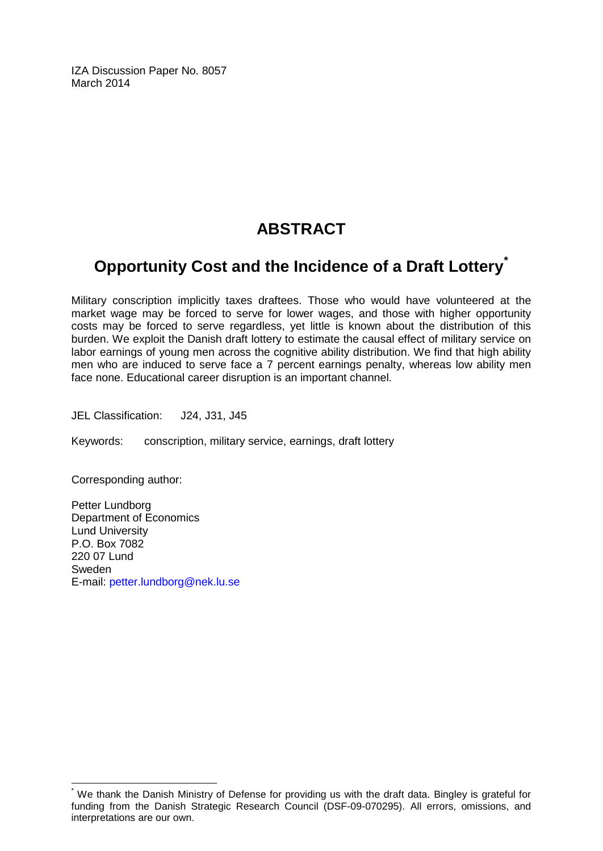IZA Discussion Paper No. 8057 March 2014

# **ABSTRACT**

# **Opportunity Cost and the Incidence of a Draft Lottery[\\*](#page-1-0)**

Military conscription implicitly taxes draftees. Those who would have volunteered at the market wage may be forced to serve for lower wages, and those with higher opportunity costs may be forced to serve regardless, yet little is known about the distribution of this burden. We exploit the Danish draft lottery to estimate the causal effect of military service on labor earnings of young men across the cognitive ability distribution. We find that high ability men who are induced to serve face a 7 percent earnings penalty, whereas low ability men face none. Educational career disruption is an important channel.

JEL Classification: J24, J31, J45

Keywords: conscription, military service, earnings, draft lottery

Corresponding author:

Petter Lundborg Department of Economics Lund University P.O. Box 7082 220 07 Lund Sweden E-mail: [petter.lundborg@nek.lu.se](mailto:petter.lundborg@nek.lu.se)

We thank the Danish Ministry of Defense for providing us with the draft data. Bingley is grateful for funding from the Danish Strategic Research Council (DSF-09-070295). All errors, omissions, and interpretations are our own.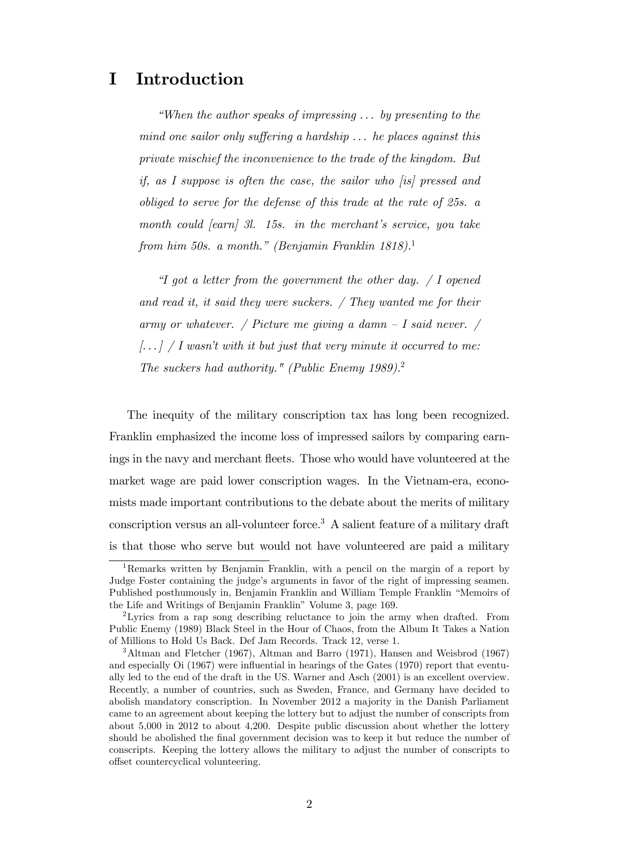# I Introduction

"When the author speaks of impressing  $\ldots$  by presenting to the mind one sailor only suffering a hardship  $\ldots$  he places against this private mischief the inconvenience to the trade of the kingdom. But if, as I suppose is often the case, the sailor who [is] pressed and obliged to serve for the defense of this trade at the rate of 25s. a month could  $\lceil \operatorname{earn} \rceil$  3l. 15s. in the merchant's service, you take from him 50s. a month." (Benjamin Franklin 1818).<sup>1</sup>

 $\mathcal I$  got a letter from the government the other day.  $\mathcal I$  I opened and read it, it said they were suckers. / They wanted me for their army or whatever. / Picture me giving a damn  $-I$  said never. /  $\left[ \ldots \right] / I$  wasn't with it but just that very minute it occurred to me: The suckers had authority." (Public Enemy 1989).<sup>2</sup>

The inequity of the military conscription tax has long been recognized. Franklin emphasized the income loss of impressed sailors by comparing earnings in the navy and merchant fleets. Those who would have volunteered at the market wage are paid lower conscription wages. In the Vietnam-era, economists made important contributions to the debate about the merits of military conscription versus an all-volunteer force.<sup>3</sup> A salient feature of a military draft is that those who serve but would not have volunteered are paid a military

<sup>1</sup>Remarks written by Benjamin Franklin, with a pencil on the margin of a report by Judge Foster containing the judge's arguments in favor of the right of impressing seamen. Published posthumously in, Benjamin Franklin and William Temple Franklin "Memoirs of the Life and Writings of Benjamin Franklin" Volume 3, page 169.

<sup>2</sup>Lyrics from a rap song describing reluctance to join the army when drafted. From Public Enemy (1989) Black Steel in the Hour of Chaos, from the Album It Takes a Nation of Millions to Hold Us Back. Def Jam Records. Track 12, verse 1.

<sup>3</sup>Altman and Fletcher (1967), Altman and Barro (1971), Hansen and Weisbrod (1967) and especially  $\mathrm{O}i$  (1967) were influential in hearings of the Gates (1970) report that eventually led to the end of the draft in the US. Warner and Asch (2001) is an excellent overview. Recently, a number of countries, such as Sweden, France, and Germany have decided to abolish mandatory conscription. In November 2012 a majority in the Danish Parliament came to an agreement about keeping the lottery but to adjust the number of conscripts from about 5,000 in 2012 to about 4,200. Despite public discussion about whether the lottery should be abolished the final government decision was to keep it but reduce the number of conscripts. Keeping the lottery allows the military to adjust the number of conscripts to offset countercyclical volunteering.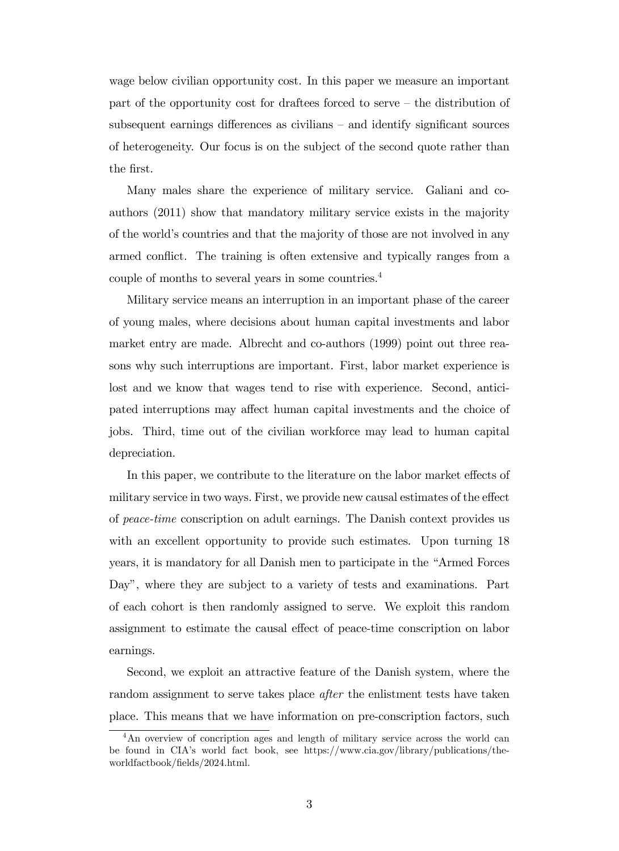wage below civilian opportunity cost. In this paper we measure an important part of the opportunity cost for draftees forced to serve  $-$  the distribution of subsequent earnings differences as civilians  $-$  and identify significant sources of heterogeneity. Our focus is on the subject of the second quote rather than the first.

Many males share the experience of military service. Galiani and coauthors (2011) show that mandatory military service exists in the majority of the world's countries and that the majority of those are not involved in any armed conflict. The training is often extensive and typically ranges from a couple of months to several years in some countries.<sup>4</sup>

Military service means an interruption in an important phase of the career of young males, where decisions about human capital investments and labor market entry are made. Albrecht and co-authors (1999) point out three reasons why such interruptions are important. First, labor market experience is lost and we know that wages tend to rise with experience. Second, anticipated interruptions may affect human capital investments and the choice of jobs. Third, time out of the civilian workforce may lead to human capital depreciation.

In this paper, we contribute to the literature on the labor market effects of military service in two ways. First, we provide new causal estimates of the effect of peace-time conscription on adult earnings. The Danish context provides us with an excellent opportunity to provide such estimates. Upon turning 18 years, it is mandatory for all Danish men to participate in the "Armed Forces" Day", where they are subject to a variety of tests and examinations. Part of each cohort is then randomly assigned to serve. We exploit this random assignment to estimate the causal effect of peace-time conscription on labor earnings.

Second, we exploit an attractive feature of the Danish system, where the random assignment to serve takes place *after* the enlistment tests have taken place. This means that we have information on pre-conscription factors, such

<sup>&</sup>lt;sup>4</sup>An overview of concription ages and length of military service across the world can be found in CIAís world fact book, see https://www.cia.gov/library/publications/theworldfactbook/Öelds/2024.html.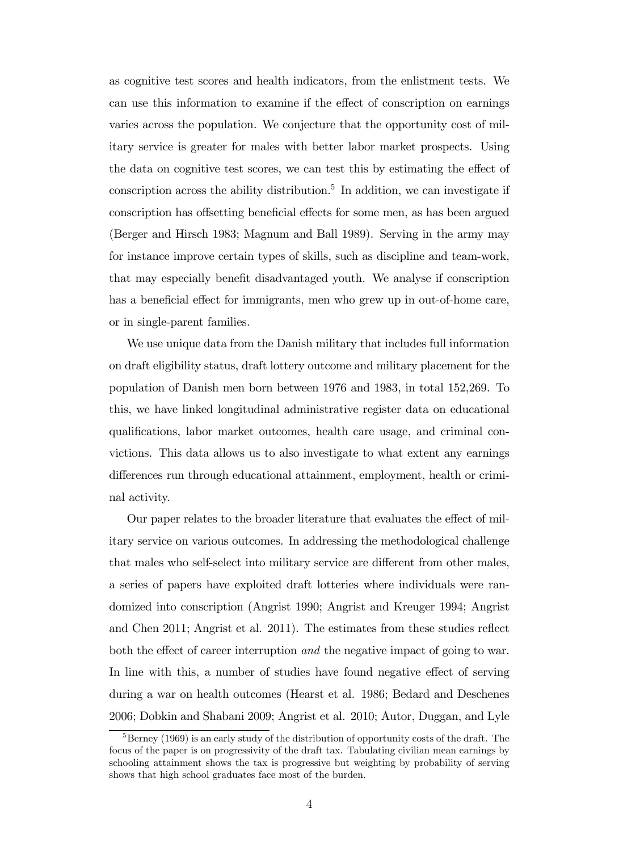as cognitive test scores and health indicators, from the enlistment tests. We can use this information to examine if the effect of conscription on earnings varies across the population. We conjecture that the opportunity cost of military service is greater for males with better labor market prospects. Using the data on cognitive test scores, we can test this by estimating the effect of conscription across the ability distribution.<sup>5</sup> In addition, we can investigate if conscription has offsetting beneficial effects for some men, as has been argued (Berger and Hirsch 1983; Magnum and Ball 1989). Serving in the army may for instance improve certain types of skills, such as discipline and team-work, that may especially benefit disadvantaged youth. We analyse if conscription has a beneficial effect for immigrants, men who grew up in out-of-home care, or in single-parent families.

We use unique data from the Danish military that includes full information on draft eligibility status, draft lottery outcome and military placement for the population of Danish men born between 1976 and 1983, in total 152,269. To this, we have linked longitudinal administrative register data on educational qualifications, labor market outcomes, health care usage, and criminal convictions. This data allows us to also investigate to what extent any earnings differences run through educational attainment, employment, health or criminal activity.

Our paper relates to the broader literature that evaluates the effect of military service on various outcomes. In addressing the methodological challenge that males who self-select into military service are different from other males, a series of papers have exploited draft lotteries where individuals were randomized into conscription (Angrist 1990; Angrist and Kreuger 1994; Angrist and Chen 2011; Angrist et al. 2011). The estimates from these studies reflect both the effect of career interruption and the negative impact of going to war. In line with this, a number of studies have found negative effect of serving during a war on health outcomes (Hearst et al. 1986; Bedard and Deschenes 2006; Dobkin and Shabani 2009; Angrist et al. 2010; Autor, Duggan, and Lyle

 $5$ Berney (1969) is an early study of the distribution of opportunity costs of the draft. The focus of the paper is on progressivity of the draft tax. Tabulating civilian mean earnings by schooling attainment shows the tax is progressive but weighting by probability of serving shows that high school graduates face most of the burden.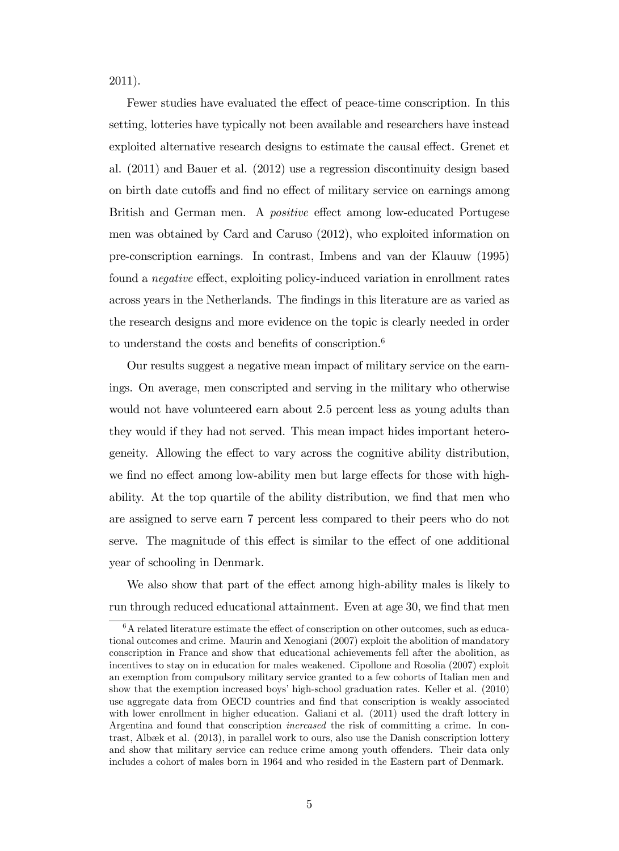2011).

Fewer studies have evaluated the effect of peace-time conscription. In this setting, lotteries have typically not been available and researchers have instead exploited alternative research designs to estimate the causal effect. Grenet et al. (2011) and Bauer et al. (2012) use a regression discontinuity design based on birth date cutoffs and find no effect of military service on earnings among British and German men. A *positive* effect among low-educated Portugese men was obtained by Card and Caruso (2012), who exploited information on pre-conscription earnings. In contrast, Imbens and van der Klauuw (1995) found a *negative* effect, exploiting policy-induced variation in enrollment rates across years in the Netherlands. The Öndings in this literature are as varied as the research designs and more evidence on the topic is clearly needed in order to understand the costs and benefits of conscription.<sup>6</sup>

Our results suggest a negative mean impact of military service on the earnings. On average, men conscripted and serving in the military who otherwise would not have volunteered earn about 2.5 percent less as young adults than they would if they had not served. This mean impact hides important heterogeneity. Allowing the effect to vary across the cognitive ability distribution, we find no effect among low-ability men but large effects for those with highability. At the top quartile of the ability distribution, we find that men who are assigned to serve earn 7 percent less compared to their peers who do not serve. The magnitude of this effect is similar to the effect of one additional year of schooling in Denmark.

We also show that part of the effect among high-ability males is likely to run through reduced educational attainment. Even at age 30, we find that men

 $6A$  related literature estimate the effect of conscription on other outcomes, such as educational outcomes and crime. Maurin and Xenogiani (2007) exploit the abolition of mandatory conscription in France and show that educational achievements fell after the abolition, as incentives to stay on in education for males weakened. Cipollone and Rosolia (2007) exploit an exemption from compulsory military service granted to a few cohorts of Italian men and show that the exemption increased boys' high-school graduation rates. Keller et al. (2010) use aggregate data from OECD countries and find that conscription is weakly associated with lower enrollment in higher education. Galiani et al.  $(2011)$  used the draft lottery in Argentina and found that conscription increased the risk of committing a crime. In contrast, Albæk et al.  $(2013)$ , in parallel work to ours, also use the Danish conscription lottery and show that military service can reduce crime among youth offenders. Their data only includes a cohort of males born in 1964 and who resided in the Eastern part of Denmark.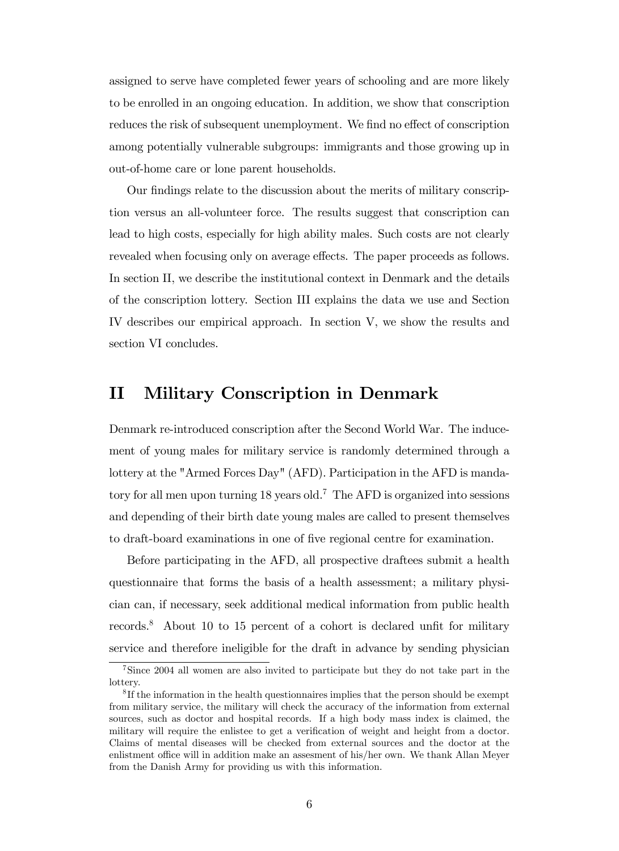assigned to serve have completed fewer years of schooling and are more likely to be enrolled in an ongoing education. In addition, we show that conscription reduces the risk of subsequent unemployment. We find no effect of conscription among potentially vulnerable subgroups: immigrants and those growing up in out-of-home care or lone parent households.

Our findings relate to the discussion about the merits of military conscription versus an all-volunteer force. The results suggest that conscription can lead to high costs, especially for high ability males. Such costs are not clearly revealed when focusing only on average effects. The paper proceeds as follows. In section II, we describe the institutional context in Denmark and the details of the conscription lottery. Section III explains the data we use and Section IV describes our empirical approach. In section V, we show the results and section VI concludes.

## II Military Conscription in Denmark

Denmark re-introduced conscription after the Second World War. The inducement of young males for military service is randomly determined through a lottery at the "Armed Forces Day" (AFD). Participation in the AFD is mandatory for all men upon turning 18 years old.<sup>7</sup> The AFD is organized into sessions and depending of their birth date young males are called to present themselves to draft-board examinations in one of Öve regional centre for examination.

Before participating in the AFD, all prospective draftees submit a health questionnaire that forms the basis of a health assessment; a military physician can, if necessary, seek additional medical information from public health records.<sup>8</sup> About 10 to 15 percent of a cohort is declared unfit for military service and therefore ineligible for the draft in advance by sending physician

<sup>7</sup>Since 2004 all women are also invited to participate but they do not take part in the lottery.

<sup>&</sup>lt;sup>8</sup>If the information in the health questionnaires implies that the person should be exempt from military service, the military will check the accuracy of the information from external sources, such as doctor and hospital records. If a high body mass index is claimed, the military will require the enlistee to get a verification of weight and height from a doctor. Claims of mental diseases will be checked from external sources and the doctor at the enlistment office will in addition make an assesment of his/her own. We thank Allan Meyer from the Danish Army for providing us with this information.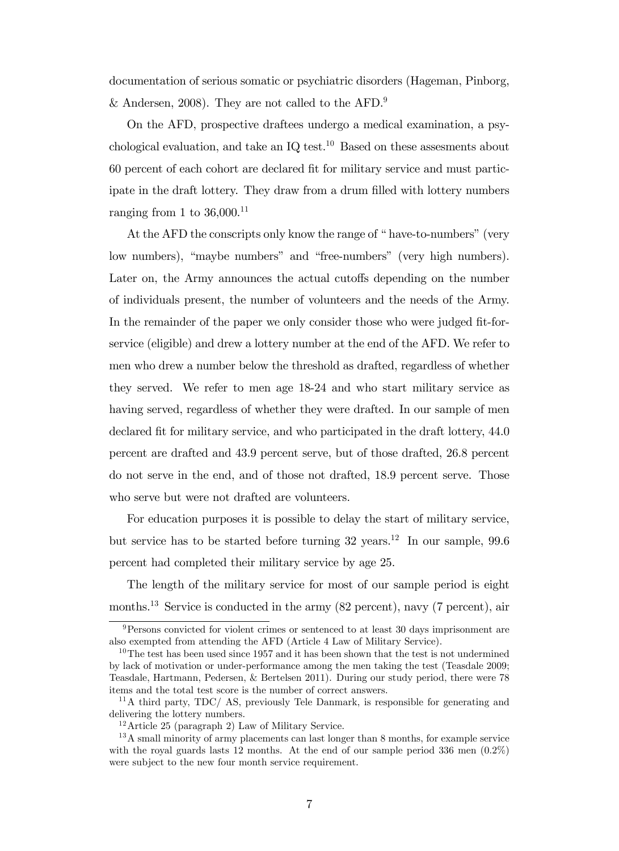documentation of serious somatic or psychiatric disorders (Hageman, Pinborg, & Andersen, 2008). They are not called to the AFD.<sup>9</sup>

On the AFD, prospective draftees undergo a medical examination, a psychological evaluation, and take an  $IQ$  test.<sup>10</sup> Based on these assessments about 60 percent of each cohort are declared Öt for military service and must participate in the draft lottery. They draw from a drum filled with lottery numbers ranging from 1 to  $36,000$ <sup>11</sup>

At the AFD the conscripts only know the range of "have-to-numbers" (very low numbers), "maybe numbers" and "free-numbers" (very high numbers). Later on, the Army announces the actual cutoffs depending on the number of individuals present, the number of volunteers and the needs of the Army. In the remainder of the paper we only consider those who were judged fit-forservice (eligible) and drew a lottery number at the end of the AFD. We refer to men who drew a number below the threshold as drafted, regardless of whether they served. We refer to men age 18-24 and who start military service as having served, regardless of whether they were drafted. In our sample of men declared fit for military service, and who participated in the draft lottery,  $44.0$ percent are drafted and 43.9 percent serve, but of those drafted, 26.8 percent do not serve in the end, and of those not drafted, 18.9 percent serve. Those who serve but were not drafted are volunteers.

For education purposes it is possible to delay the start of military service, but service has to be started before turning  $32 \text{ years.}^{12}$  In our sample,  $99.6$ percent had completed their military service by age 25.

The length of the military service for most of our sample period is eight months.<sup>13</sup> Service is conducted in the army (82 percent), navy (7 percent), air

 $9$ Persons convicted for violent crimes or sentenced to at least 30 days imprisonment are also exempted from attending the AFD (Article 4 Law of Military Service).

<sup>&</sup>lt;sup>10</sup>The test has been used since 1957 and it has been shown that the test is not undermined by lack of motivation or under-performance among the men taking the test (Teasdale 2009; Teasdale, Hartmann, Pedersen, & Bertelsen 2011). During our study period, there were 78 items and the total test score is the number of correct answers.

 $11$ A third party, TDC/ AS, previously Tele Danmark, is responsible for generating and delivering the lottery numbers.

 $12$ Article 25 (paragraph 2) Law of Military Service.

<sup>&</sup>lt;sup>13</sup>A small minority of army placements can last longer than 8 months, for example service with the royal guards lasts 12 months. At the end of our sample period 336 men  $(0.2\%)$ were subject to the new four month service requirement.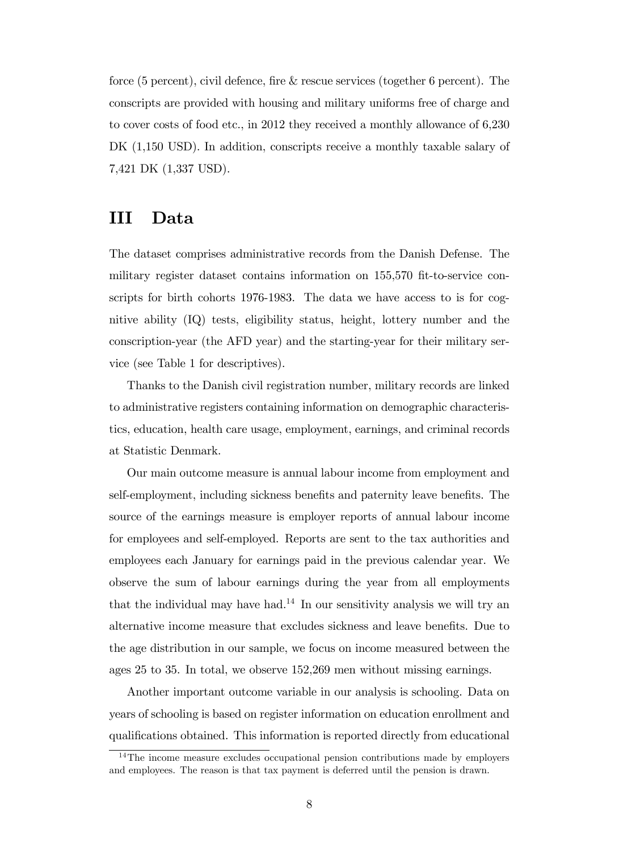force (5 percent), civil defence, fire  $\&$  rescue services (together 6 percent). The conscripts are provided with housing and military uniforms free of charge and to cover costs of food etc., in 2012 they received a monthly allowance of 6,230 DK (1,150 USD). In addition, conscripts receive a monthly taxable salary of 7,421 DK (1,337 USD).

# III Data

The dataset comprises administrative records from the Danish Defense. The military register dataset contains information on 155,570 fit-to-service conscripts for birth cohorts 1976-1983. The data we have access to is for cognitive ability (IQ) tests, eligibility status, height, lottery number and the conscription-year (the AFD year) and the starting-year for their military service (see Table 1 for descriptives).

Thanks to the Danish civil registration number, military records are linked to administrative registers containing information on demographic characteristics, education, health care usage, employment, earnings, and criminal records at Statistic Denmark.

Our main outcome measure is annual labour income from employment and self-employment, including sickness benefits and paternity leave benefits. The source of the earnings measure is employer reports of annual labour income for employees and self-employed. Reports are sent to the tax authorities and employees each January for earnings paid in the previous calendar year. We observe the sum of labour earnings during the year from all employments that the individual may have had.<sup>14</sup> In our sensitivity analysis we will try an alternative income measure that excludes sickness and leave benefits. Due to the age distribution in our sample, we focus on income measured between the ages 25 to 35. In total, we observe 152,269 men without missing earnings.

Another important outcome variable in our analysis is schooling. Data on years of schooling is based on register information on education enrollment and qualifications obtained. This information is reported directly from educational

<sup>&</sup>lt;sup>14</sup>The income measure excludes occupational pension contributions made by employers and employees. The reason is that tax payment is deferred until the pension is drawn.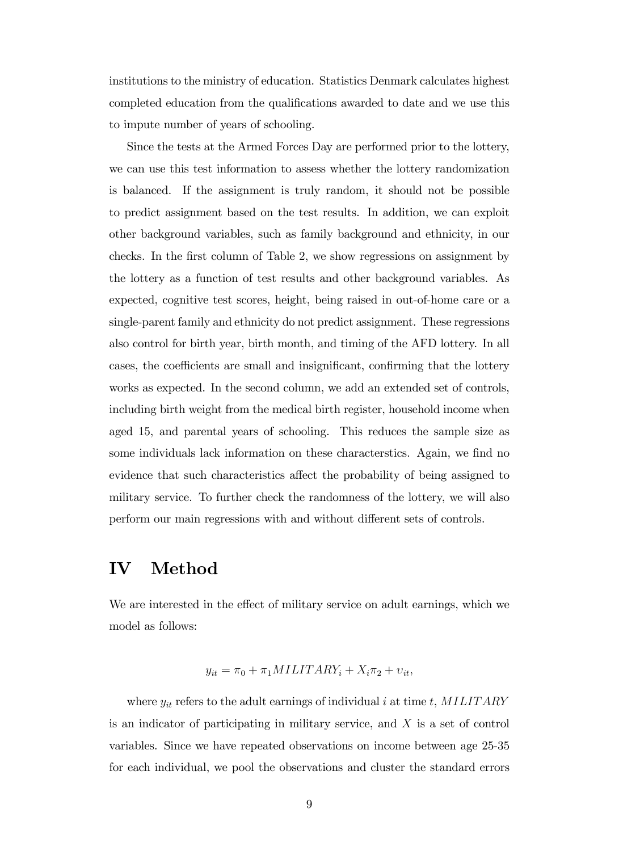institutions to the ministry of education. Statistics Denmark calculates highest completed education from the qualifications awarded to date and we use this to impute number of years of schooling.

Since the tests at the Armed Forces Day are performed prior to the lottery, we can use this test information to assess whether the lottery randomization is balanced. If the assignment is truly random, it should not be possible to predict assignment based on the test results. In addition, we can exploit other background variables, such as family background and ethnicity, in our checks. In the Örst column of Table 2, we show regressions on assignment by the lottery as a function of test results and other background variables. As expected, cognitive test scores, height, being raised in out-of-home care or a single-parent family and ethnicity do not predict assignment. These regressions also control for birth year, birth month, and timing of the AFD lottery. In all cases, the coefficients are small and insignificant, confirming that the lottery works as expected. In the second column, we add an extended set of controls, including birth weight from the medical birth register, household income when aged 15, and parental years of schooling. This reduces the sample size as some individuals lack information on these characterstics. Again, we find no evidence that such characteristics affect the probability of being assigned to military service. To further check the randomness of the lottery, we will also perform our main regressions with and without different sets of controls.

### IV Method

We are interested in the effect of military service on adult earnings, which we model as follows:

$$
y_{it} = \pi_0 + \pi_1 MILITARY_i + X_i \pi_2 + v_{it},
$$

where  $y_{it}$  refers to the adult earnings of individual i at time t, MILITARY is an indicator of participating in military service, and  $X$  is a set of control variables. Since we have repeated observations on income between age 25-35 for each individual, we pool the observations and cluster the standard errors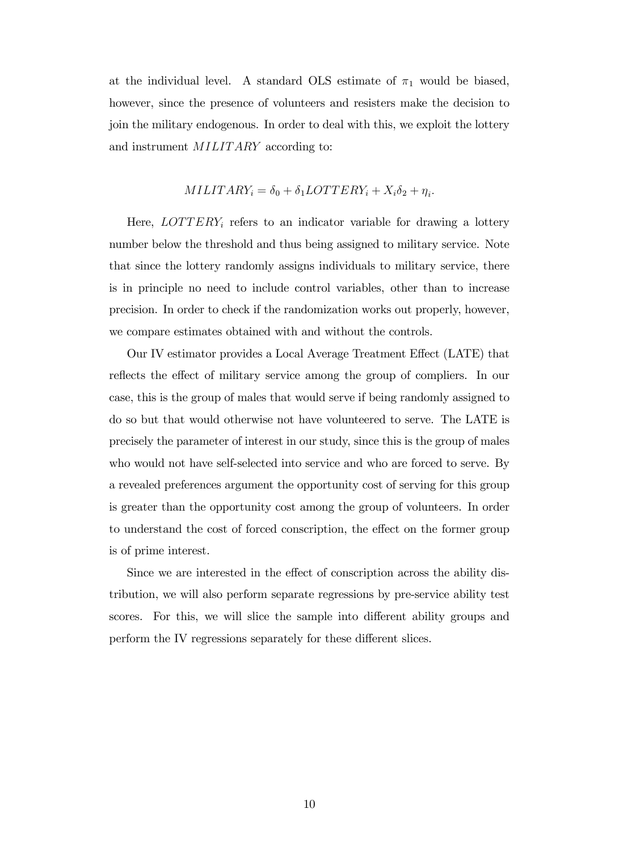at the individual level. A standard OLS estimate of  $\pi_1$  would be biased, however, since the presence of volunteers and resisters make the decision to join the military endogenous. In order to deal with this, we exploit the lottery and instrument *MILITARY* according to:

#### $MILITARY_i = \delta_0 + \delta_1LOTTERY_i + X_i\delta_2 + \eta_i.$

Here,  $LOTTERY_i$  refers to an indicator variable for drawing a lottery number below the threshold and thus being assigned to military service. Note that since the lottery randomly assigns individuals to military service, there is in principle no need to include control variables, other than to increase precision. In order to check if the randomization works out properly, however, we compare estimates obtained with and without the controls.

Our IV estimator provides a Local Average Treatment Effect (LATE) that reflects the effect of military service among the group of compliers. In our case, this is the group of males that would serve if being randomly assigned to do so but that would otherwise not have volunteered to serve. The LATE is precisely the parameter of interest in our study, since this is the group of males who would not have self-selected into service and who are forced to serve. By a revealed preferences argument the opportunity cost of serving for this group is greater than the opportunity cost among the group of volunteers. In order to understand the cost of forced conscription, the effect on the former group is of prime interest.

Since we are interested in the effect of conscription across the ability distribution, we will also perform separate regressions by pre-service ability test scores. For this, we will slice the sample into different ability groups and perform the IV regressions separately for these different slices.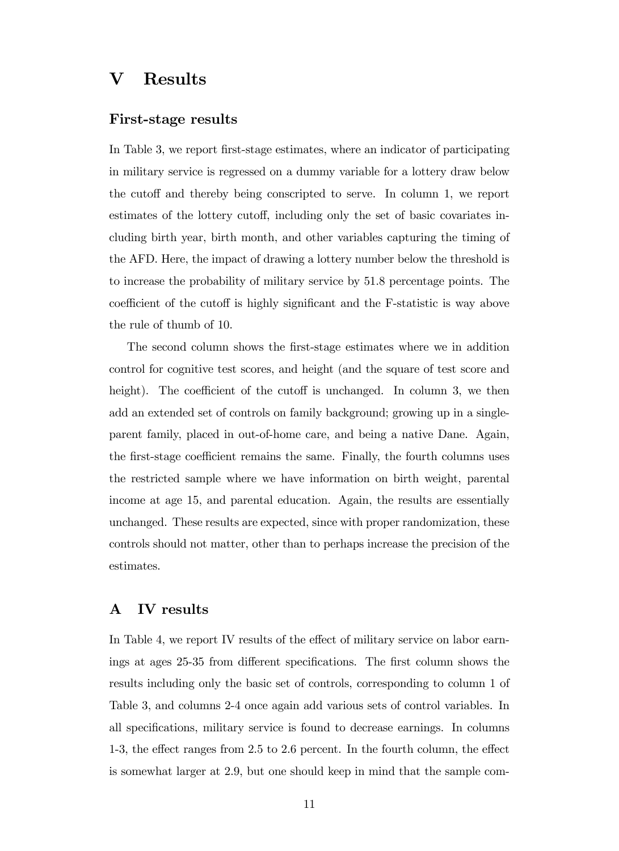# V Results

#### First-stage results

In Table 3, we report first-stage estimates, where an indicator of participating in military service is regressed on a dummy variable for a lottery draw below the cutoff and thereby being conscripted to serve. In column 1, we report estimates of the lottery cutoff, including only the set of basic covariates including birth year, birth month, and other variables capturing the timing of the AFD. Here, the impact of drawing a lottery number below the threshold is to increase the probability of military service by 51.8 percentage points. The coefficient of the cutoff is highly significant and the F-statistic is way above the rule of thumb of 10.

The second column shows the first-stage estimates where we in addition control for cognitive test scores, and height (and the square of test score and height). The coefficient of the cutoff is unchanged. In column 3, we then add an extended set of controls on family background; growing up in a singleparent family, placed in out-of-home care, and being a native Dane. Again, the first-stage coefficient remains the same. Finally, the fourth columns uses the restricted sample where we have information on birth weight, parental income at age 15, and parental education. Again, the results are essentially unchanged. These results are expected, since with proper randomization, these controls should not matter, other than to perhaps increase the precision of the estimates.

#### A IV results

In Table 4, we report IV results of the effect of military service on labor earnings at ages 25-35 from different specifications. The first column shows the results including only the basic set of controls, corresponding to column 1 of Table 3, and columns 2-4 once again add various sets of control variables. In all specifications, military service is found to decrease earnings. In columns 1-3, the effect ranges from  $2.5$  to  $2.6$  percent. In the fourth column, the effect is somewhat larger at 2.9, but one should keep in mind that the sample com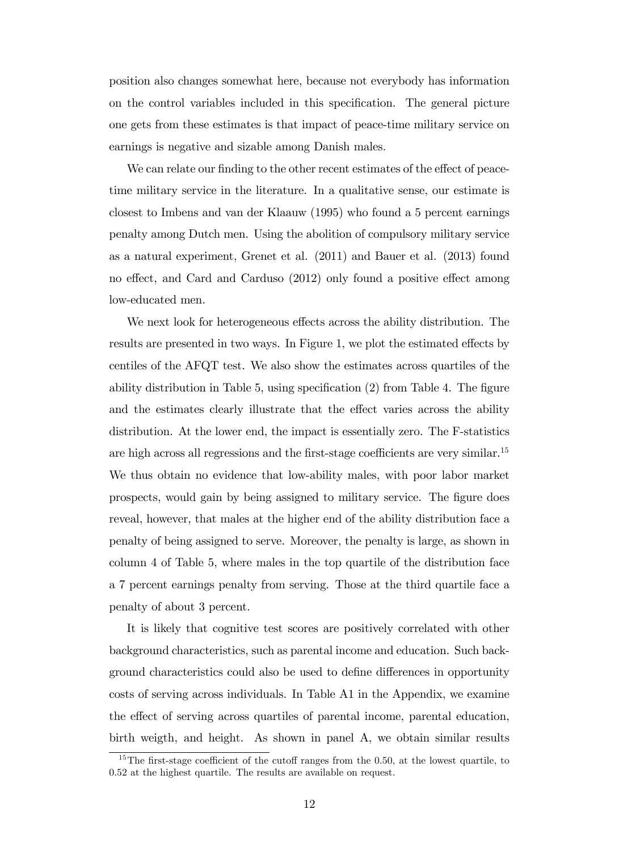position also changes somewhat here, because not everybody has information on the control variables included in this specification. The general picture one gets from these estimates is that impact of peace-time military service on earnings is negative and sizable among Danish males.

We can relate our finding to the other recent estimates of the effect of peacetime military service in the literature. In a qualitative sense, our estimate is closest to Imbens and van der Klaauw (1995) who found a 5 percent earnings penalty among Dutch men. Using the abolition of compulsory military service as a natural experiment, Grenet et al. (2011) and Bauer et al. (2013) found no effect, and Card and Carduso (2012) only found a positive effect among low-educated men.

We next look for heterogeneous effects across the ability distribution. The results are presented in two ways. In Figure 1, we plot the estimated effects by centiles of the AFQT test. We also show the estimates across quartiles of the ability distribution in Table 5, using specification  $(2)$  from Table 4. The figure and the estimates clearly illustrate that the effect varies across the ability distribution. At the lower end, the impact is essentially zero. The F-statistics are high across all regressions and the first-stage coefficients are very similar.<sup>15</sup> We thus obtain no evidence that low-ability males, with poor labor market prospects, would gain by being assigned to military service. The Ögure does reveal, however, that males at the higher end of the ability distribution face a penalty of being assigned to serve. Moreover, the penalty is large, as shown in column 4 of Table 5, where males in the top quartile of the distribution face a 7 percent earnings penalty from serving. Those at the third quartile face a penalty of about 3 percent.

It is likely that cognitive test scores are positively correlated with other background characteristics, such as parental income and education. Such background characteristics could also be used to define differences in opportunity costs of serving across individuals. In Table A1 in the Appendix, we examine the effect of serving across quartiles of parental income, parental education, birth weigth, and height. As shown in panel A, we obtain similar results

<sup>&</sup>lt;sup>15</sup>The first-stage coefficient of the cutoff ranges from the 0.50, at the lowest quartile, to 0.52 at the highest quartile. The results are available on request.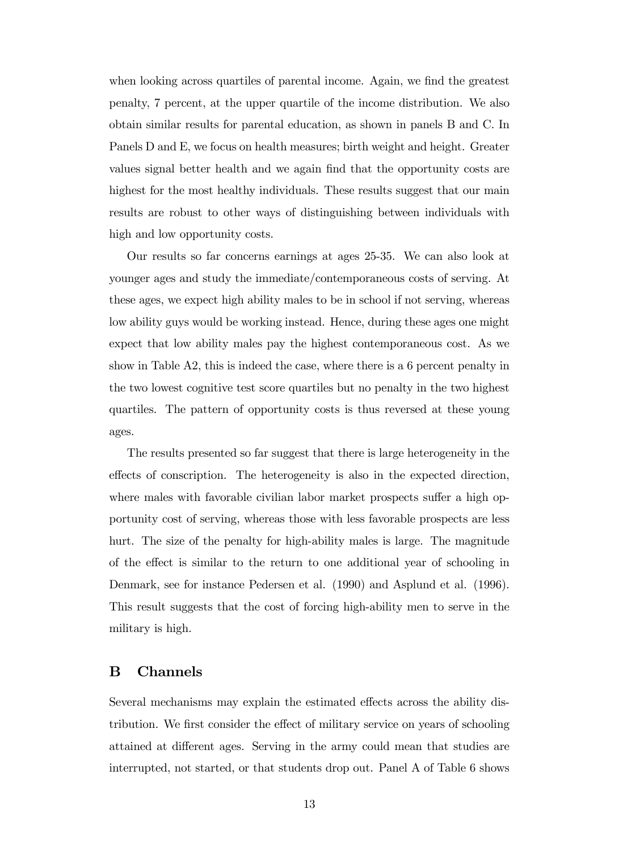when looking across quartiles of parental income. Again, we find the greatest penalty, 7 percent, at the upper quartile of the income distribution. We also obtain similar results for parental education, as shown in panels B and C. In Panels D and E, we focus on health measures; birth weight and height. Greater values signal better health and we again Önd that the opportunity costs are highest for the most healthy individuals. These results suggest that our main results are robust to other ways of distinguishing between individuals with high and low opportunity costs.

Our results so far concerns earnings at ages 25-35. We can also look at younger ages and study the immediate/contemporaneous costs of serving. At these ages, we expect high ability males to be in school if not serving, whereas low ability guys would be working instead. Hence, during these ages one might expect that low ability males pay the highest contemporaneous cost. As we show in Table A2, this is indeed the case, where there is a 6 percent penalty in the two lowest cognitive test score quartiles but no penalty in the two highest quartiles. The pattern of opportunity costs is thus reversed at these young ages.

The results presented so far suggest that there is large heterogeneity in the effects of conscription. The heterogeneity is also in the expected direction, where males with favorable civilian labor market prospects suffer a high opportunity cost of serving, whereas those with less favorable prospects are less hurt. The size of the penalty for high-ability males is large. The magnitude of the effect is similar to the return to one additional year of schooling in Denmark, see for instance Pedersen et al. (1990) and Asplund et al. (1996). This result suggests that the cost of forcing high-ability men to serve in the military is high.

#### B Channels

Several mechanisms may explain the estimated effects across the ability distribution. We first consider the effect of military service on years of schooling attained at different ages. Serving in the army could mean that studies are interrupted, not started, or that students drop out. Panel A of Table 6 shows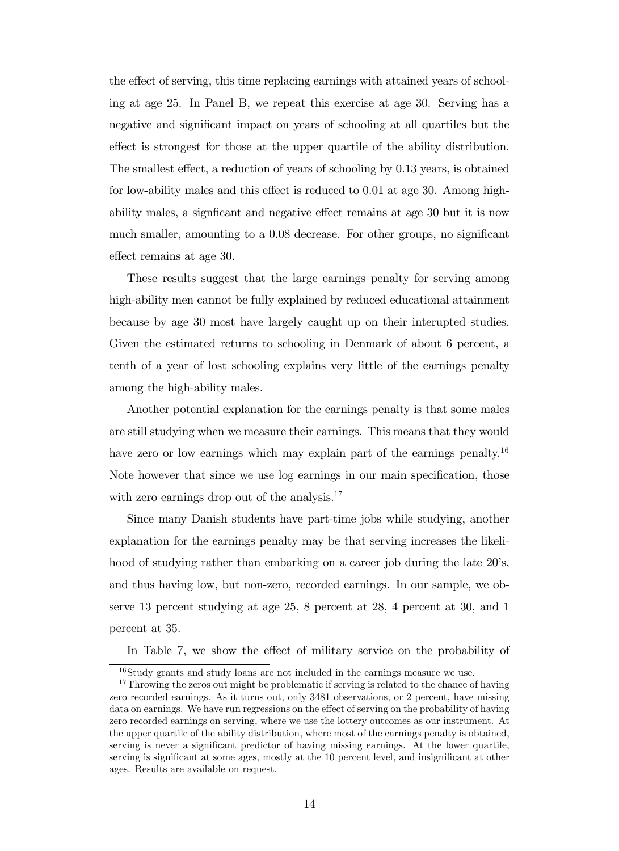the effect of serving, this time replacing earnings with attained years of schooling at age 25. In Panel B, we repeat this exercise at age 30. Serving has a negative and significant impact on years of schooling at all quartiles but the effect is strongest for those at the upper quartile of the ability distribution. The smallest effect, a reduction of years of schooling by  $0.13$  years, is obtained for low-ability males and this effect is reduced to  $0.01$  at age 30. Among highability males, a significant and negative effect remains at age 30 but it is now much smaller, amounting to a  $0.08$  decrease. For other groups, no significant effect remains at age 30.

These results suggest that the large earnings penalty for serving among high-ability men cannot be fully explained by reduced educational attainment because by age 30 most have largely caught up on their interupted studies. Given the estimated returns to schooling in Denmark of about 6 percent, a tenth of a year of lost schooling explains very little of the earnings penalty among the high-ability males.

Another potential explanation for the earnings penalty is that some males are still studying when we measure their earnings. This means that they would have zero or low earnings which may explain part of the earnings penalty.<sup>16</sup> Note however that since we use log earnings in our main specification, those with zero earnings drop out of the analysis.<sup>17</sup>

Since many Danish students have part-time jobs while studying, another explanation for the earnings penalty may be that serving increases the likelihood of studying rather than embarking on a career job during the late  $20$ 's, and thus having low, but non-zero, recorded earnings. In our sample, we observe 13 percent studying at age 25, 8 percent at 28, 4 percent at 30, and 1 percent at 35.

In Table 7, we show the effect of military service on the probability of

<sup>16</sup>Study grants and study loans are not included in the earnings measure we use.

<sup>&</sup>lt;sup>17</sup>Throwing the zeros out might be problematic if serving is related to the chance of having zero recorded earnings. As it turns out, only 3481 observations, or 2 percent, have missing data on earnings. We have run regressions on the effect of serving on the probability of having zero recorded earnings on serving, where we use the lottery outcomes as our instrument. At the upper quartile of the ability distribution, where most of the earnings penalty is obtained, serving is never a significant predictor of having missing earnings. At the lower quartile, serving is significant at some ages, mostly at the 10 percent level, and insignificant at other ages. Results are available on request.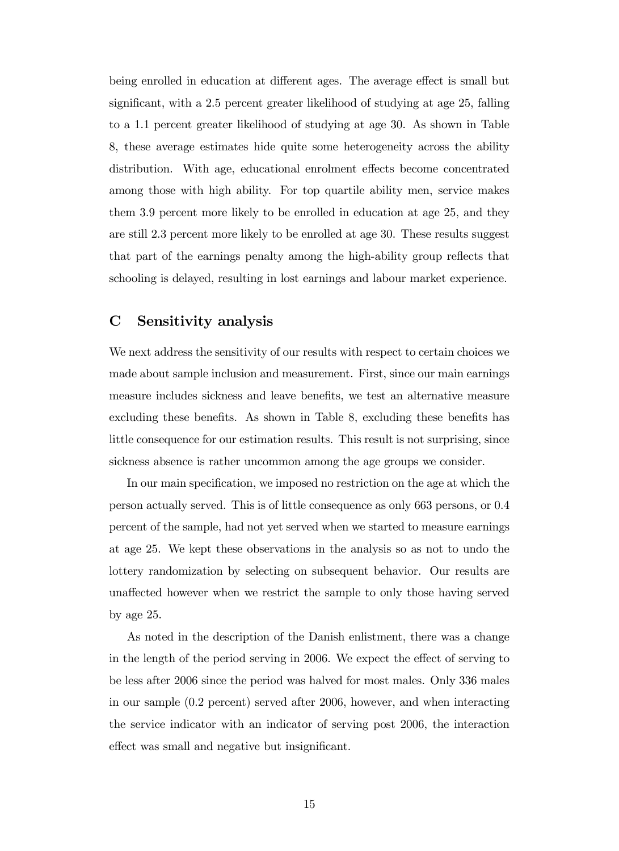being enrolled in education at different ages. The average effect is small but significant, with a 2.5 percent greater likelihood of studying at age 25, falling to a 1.1 percent greater likelihood of studying at age 30. As shown in Table 8, these average estimates hide quite some heterogeneity across the ability distribution. With age, educational enrolment effects become concentrated among those with high ability. For top quartile ability men, service makes them 3.9 percent more likely to be enrolled in education at age 25, and they are still 2.3 percent more likely to be enrolled at age 30. These results suggest that part of the earnings penalty among the high-ability group reflects that schooling is delayed, resulting in lost earnings and labour market experience.

#### C Sensitivity analysis

We next address the sensitivity of our results with respect to certain choices we made about sample inclusion and measurement. First, since our main earnings measure includes sickness and leave benefits, we test an alternative measure excluding these benefits. As shown in Table 8, excluding these benefits has little consequence for our estimation results. This result is not surprising, since sickness absence is rather uncommon among the age groups we consider.

In our main specification, we imposed no restriction on the age at which the person actually served. This is of little consequence as only 663 persons, or 0.4 percent of the sample, had not yet served when we started to measure earnings at age 25. We kept these observations in the analysis so as not to undo the lottery randomization by selecting on subsequent behavior. Our results are unaffected however when we restrict the sample to only those having served by age 25.

As noted in the description of the Danish enlistment, there was a change in the length of the period serving in 2006. We expect the effect of serving to be less after 2006 since the period was halved for most males. Only 336 males in our sample (0.2 percent) served after 2006, however, and when interacting the service indicator with an indicator of serving post 2006, the interaction effect was small and negative but insignificant.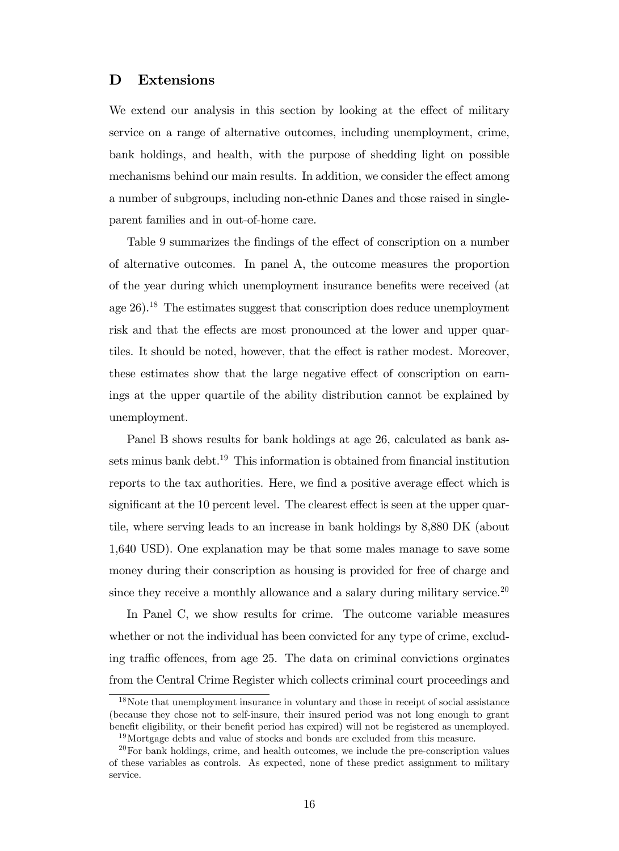#### D Extensions

We extend our analysis in this section by looking at the effect of military service on a range of alternative outcomes, including unemployment, crime, bank holdings, and health, with the purpose of shedding light on possible mechanisms behind our main results. In addition, we consider the effect among a number of subgroups, including non-ethnic Danes and those raised in singleparent families and in out-of-home care.

Table 9 summarizes the findings of the effect of conscription on a number of alternative outcomes. In panel A, the outcome measures the proportion of the year during which unemployment insurance benefits were received (at age  $26$ ).<sup>18</sup> The estimates suggest that conscription does reduce unemployment risk and that the effects are most pronounced at the lower and upper quartiles. It should be noted, however, that the effect is rather modest. Moreover, these estimates show that the large negative effect of conscription on earnings at the upper quartile of the ability distribution cannot be explained by unemployment.

Panel B shows results for bank holdings at age 26, calculated as bank assets minus bank debt.<sup>19</sup> This information is obtained from financial institution reports to the tax authorities. Here, we find a positive average effect which is significant at the  $10$  percent level. The clearest effect is seen at the upper quartile, where serving leads to an increase in bank holdings by 8,880 DK (about 1,640 USD). One explanation may be that some males manage to save some money during their conscription as housing is provided for free of charge and since they receive a monthly allowance and a salary during military service.<sup>20</sup>

In Panel C, we show results for crime. The outcome variable measures whether or not the individual has been convicted for any type of crime, excluding traffic offences, from age 25. The data on criminal convictions orginates from the Central Crime Register which collects criminal court proceedings and

<sup>&</sup>lt;sup>18</sup>Note that unemployment insurance in voluntary and those in receipt of social assistance (because they chose not to self-insure, their insured period was not long enough to grant benefit eligibility, or their benefit period has expired) will not be registered as unemployed. <sup>19</sup>Mortgage debts and value of stocks and bonds are excluded from this measure.

 $20$ For bank holdings, crime, and health outcomes, we include the pre-conscription values of these variables as controls. As expected, none of these predict assignment to military service.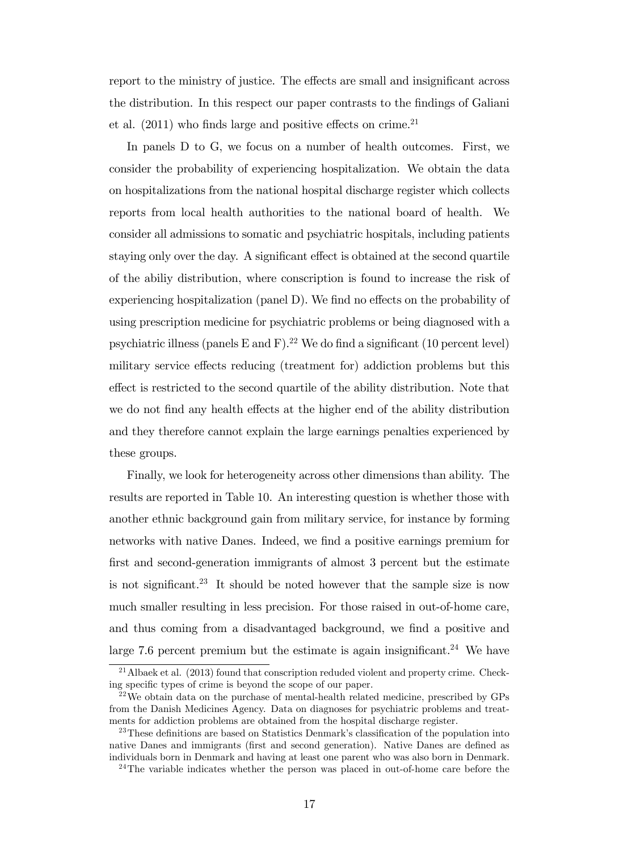report to the ministry of justice. The effects are small and insignificant across the distribution. In this respect our paper contrasts to the findings of Galiani et al.  $(2011)$  who finds large and positive effects on crime.<sup>21</sup>

In panels D to G, we focus on a number of health outcomes. First, we consider the probability of experiencing hospitalization. We obtain the data on hospitalizations from the national hospital discharge register which collects reports from local health authorities to the national board of health. We consider all admissions to somatic and psychiatric hospitals, including patients staying only over the day. A significant effect is obtained at the second quartile of the abiliy distribution, where conscription is found to increase the risk of experiencing hospitalization (panel  $D$ ). We find no effects on the probability of using prescription medicine for psychiatric problems or being diagnosed with a psychiatric illness (panels E and F).<sup>22</sup> We do find a significant (10 percent level) military service effects reducing (treatment for) addiction problems but this effect is restricted to the second quartile of the ability distribution. Note that we do not find any health effects at the higher end of the ability distribution and they therefore cannot explain the large earnings penalties experienced by these groups.

Finally, we look for heterogeneity across other dimensions than ability. The results are reported in Table 10. An interesting question is whether those with another ethnic background gain from military service, for instance by forming networks with native Danes. Indeed, we find a positive earnings premium for first and second-generation immigrants of almost 3 percent but the estimate is not significant.<sup>23</sup> It should be noted however that the sample size is now much smaller resulting in less precision. For those raised in out-of-home care, and thus coming from a disadvantaged background, we find a positive and large 7.6 percent premium but the estimate is again insignificant.<sup>24</sup> We have

 $^{21}$ Albaek et al. (2013) found that conscription reduded violent and property crime. Checking specific types of crime is beyond the scope of our paper.

 $22$ We obtain data on the purchase of mental-health related medicine, prescribed by GPs from the Danish Medicines Agency. Data on diagnoses for psychiatric problems and treatments for addiction problems are obtained from the hospital discharge register.

 $^{23}$ These definitions are based on Statistics Denmark's classification of the population into native Danes and immigrants (first and second generation). Native Danes are defined as individuals born in Denmark and having at least one parent who was also born in Denmark.

<sup>&</sup>lt;sup>24</sup>The variable indicates whether the person was placed in out-of-home care before the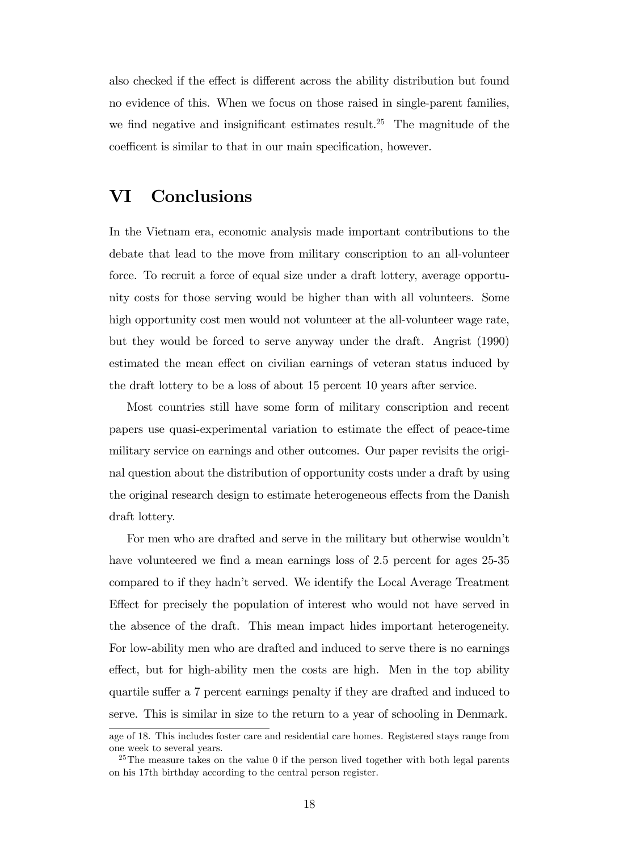also checked if the effect is different across the ability distribution but found no evidence of this. When we focus on those raised in single-parent families, we find negative and insignificant estimates result.<sup>25</sup> The magnitude of the coefficent is similar to that in our main specification, however.

## VI Conclusions

In the Vietnam era, economic analysis made important contributions to the debate that lead to the move from military conscription to an all-volunteer force. To recruit a force of equal size under a draft lottery, average opportunity costs for those serving would be higher than with all volunteers. Some high opportunity cost men would not volunteer at the all-volunteer wage rate, but they would be forced to serve anyway under the draft. Angrist (1990) estimated the mean effect on civilian earnings of veteran status induced by the draft lottery to be a loss of about 15 percent 10 years after service.

Most countries still have some form of military conscription and recent papers use quasi-experimental variation to estimate the effect of peace-time military service on earnings and other outcomes. Our paper revisits the original question about the distribution of opportunity costs under a draft by using the original research design to estimate heterogeneous effects from the Danish draft lottery.

For men who are drafted and serve in the military but otherwise wouldn't have volunteered we find a mean earnings loss of 2.5 percent for ages 25-35 compared to if they hadn't served. We identify the Local Average Treatment Effect for precisely the population of interest who would not have served in the absence of the draft. This mean impact hides important heterogeneity. For low-ability men who are drafted and induced to serve there is no earnings effect, but for high-ability men the costs are high. Men in the top ability quartile suffer a 7 percent earnings penalty if they are drafted and induced to serve. This is similar in size to the return to a year of schooling in Denmark.

age of 18. This includes foster care and residential care homes. Registered stays range from one week to several years.

 $25$ The measure takes on the value 0 if the person lived together with both legal parents on his 17th birthday according to the central person register.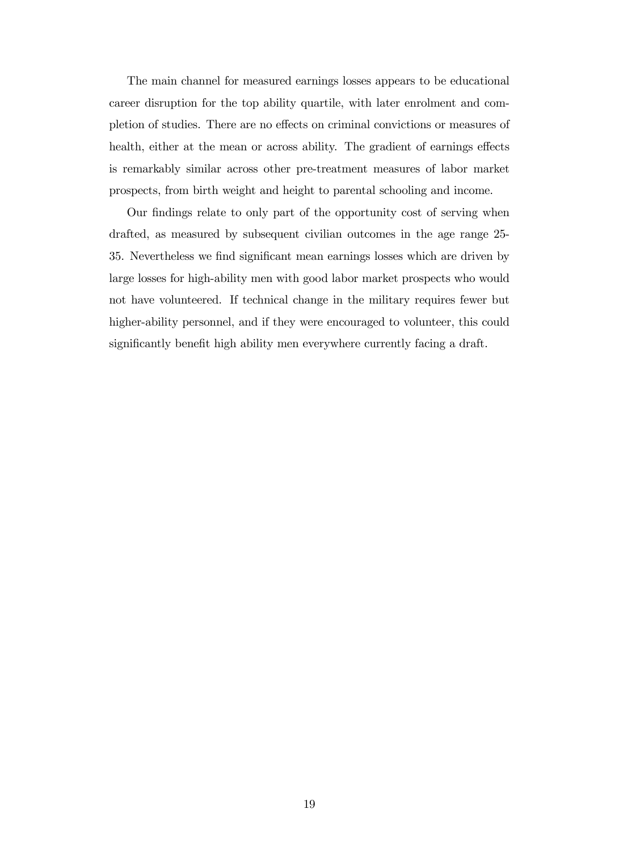The main channel for measured earnings losses appears to be educational career disruption for the top ability quartile, with later enrolment and completion of studies. There are no effects on criminal convictions or measures of health, either at the mean or across ability. The gradient of earnings effects is remarkably similar across other pre-treatment measures of labor market prospects, from birth weight and height to parental schooling and income.

Our findings relate to only part of the opportunity cost of serving when drafted, as measured by subsequent civilian outcomes in the age range 25- 35. Nevertheless we find significant mean earnings losses which are driven by large losses for high-ability men with good labor market prospects who would not have volunteered. If technical change in the military requires fewer but higher-ability personnel, and if they were encouraged to volunteer, this could significantly benefit high ability men everywhere currently facing a draft.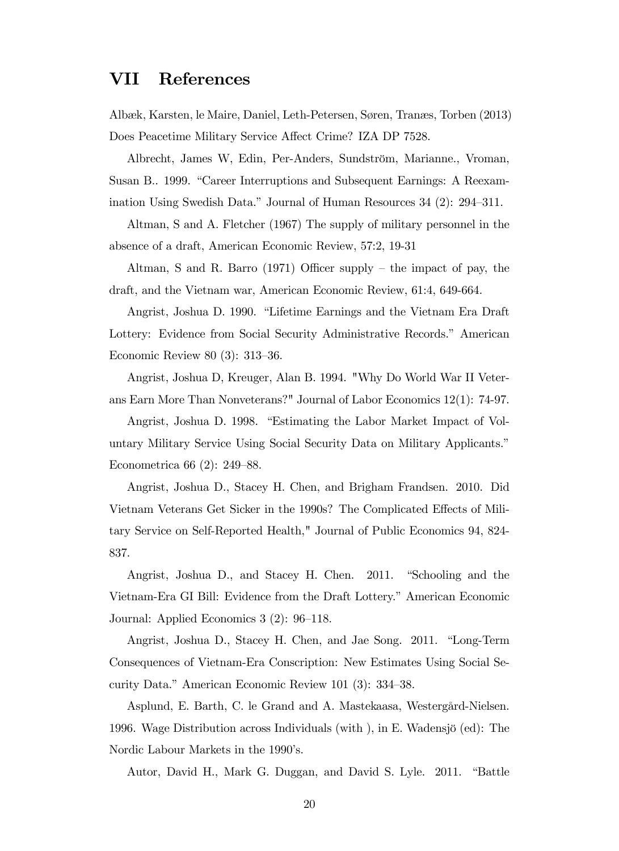# VII References

Albæk, Karsten, le Maire, Daniel, Leth-Petersen, Søren, Tranæs, Torben (2013) Does Peacetime Military Service Affect Crime? IZA DP 7528.

Albrecht, James W, Edin, Per-Anders, Sundström, Marianne., Vroman, Susan B.. 1999. "Career Interruptions and Subsequent Earnings: A Reexamination Using Swedish Data." Journal of Human Resources  $34$  (2):  $294-311$ .

Altman, S and A. Fletcher (1967) The supply of military personnel in the absence of a draft, American Economic Review, 57:2, 19-31

Altman, S and R. Barro (1971) Officer supply – the impact of pay, the draft, and the Vietnam war, American Economic Review, 61:4, 649-664.

Angrist, Joshua D. 1990. "Lifetime Earnings and the Vietnam Era Draft Lottery: Evidence from Social Security Administrative Records." American Economic Review 80  $(3)$ : 313–36.

Angrist, Joshua D, Kreuger, Alan B. 1994. "Why Do World War II Veterans Earn More Than Nonveterans?" Journal of Labor Economics 12(1): 74-97.

Angrist, Joshua D. 1998. "Estimating the Labor Market Impact of Voluntary Military Service Using Social Security Data on Military Applicants.<sup>n</sup> Econometrica 66  $(2)$ : 249–88.

Angrist, Joshua D., Stacey H. Chen, and Brigham Frandsen. 2010. Did Vietnam Veterans Get Sicker in the 1990s? The Complicated Effects of Military Service on Self-Reported Health," Journal of Public Economics 94, 824- 837.

Angrist, Joshua D., and Stacey H. Chen. 2011. "Schooling and the Vietnam-Era GI Bill: Evidence from the Draft Lottery." American Economic Journal: Applied Economics  $3(2)$ : 96–118.

Angrist, Joshua D., Stacey H. Chen, and Jae Song. 2011. "Long-Term Consequences of Vietnam-Era Conscription: New Estimates Using Social Security Data." American Economic Review 101 (3):  $334-38$ .

Asplund, E. Barth, C. le Grand and A. Mastekaasa, Westergård-Nielsen. 1996. Wage Distribution across Individuals (with), in E. Wadensjö (ed): The Nordic Labour Markets in the 1990's.

Autor, David H., Mark G. Duggan, and David S. Lyle. 2011. "Battle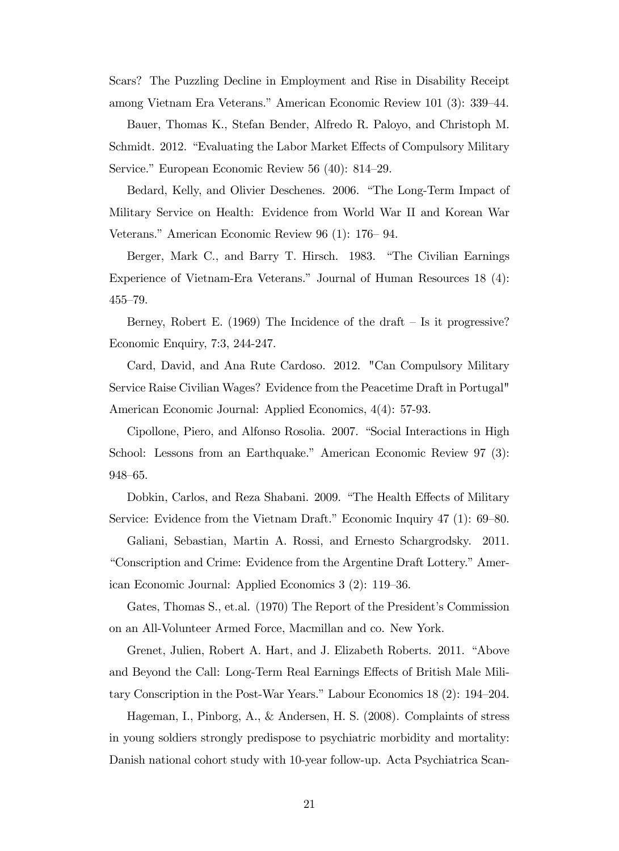Scars? The Puzzling Decline in Employment and Rise in Disability Receipt among Vietnam Era Veterans." American Economic Review 101 (3): 339–44.

Bauer, Thomas K., Stefan Bender, Alfredo R. Paloyo, and Christoph M. Schmidt. 2012. "Evaluating the Labor Market Effects of Compulsory Military Service." European Economic Review 56  $(40)$ : 814–29.

Bedard, Kelly, and Olivier Deschenes. 2006. "The Long-Term Impact of Military Service on Health: Evidence from World War II and Korean War Veterans." American Economic Review 96 (1):  $176-94$ .

Berger, Mark C., and Barry T. Hirsch. 1983. "The Civilian Earnings Experience of Vietnam-Era Veterans." Journal of Human Resources 18 (4):  $455 - 79.$ 

Berney, Robert E.  $(1969)$  The Incidence of the draft – Is it progressive? Economic Enquiry, 7:3, 244-247.

Card, David, and Ana Rute Cardoso. 2012. "Can Compulsory Military Service Raise Civilian Wages? Evidence from the Peacetime Draft in Portugal" American Economic Journal: Applied Economics, 4(4): 57-93.

Cipollone, Piero, and Alfonso Rosolia. 2007. "Social Interactions in High School: Lessons from an Earthquake." American Economic Review 97 (3): 948–65.

Dobkin, Carlos, and Reza Shabani. 2009. "The Health Effects of Military Service: Evidence from the Vietnam Draft." Economic Inquiry  $47$  (1): 69–80.

Galiani, Sebastian, Martin A. Rossi, and Ernesto Schargrodsky. 2011. "Conscription and Crime: Evidence from the Argentine Draft Lottery." American Economic Journal: Applied Economics 3 (2): 119–36.

Gates, Thomas S., et.al. (1970) The Report of the President's Commission on an All-Volunteer Armed Force, Macmillan and co. New York.

Grenet, Julien, Robert A. Hart, and J. Elizabeth Roberts. 2011. "Above and Beyond the Call: Long-Term Real Earnings Effects of British Male Military Conscription in the Post-War Years." Labour Economics  $18$  (2):  $194-204$ .

Hageman, I., Pinborg, A., & Andersen, H. S. (2008). Complaints of stress in young soldiers strongly predispose to psychiatric morbidity and mortality: Danish national cohort study with 10-year follow-up. Acta Psychiatrica Scan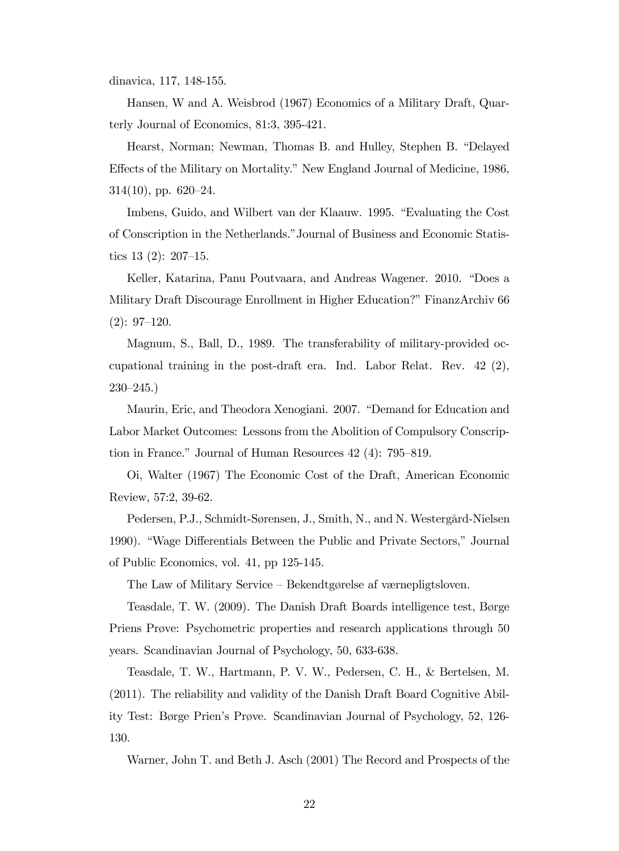dinavica, 117, 148-155.

Hansen, W and A. Weisbrod (1967) Economics of a Military Draft, Quarterly Journal of Economics, 81:3, 395-421.

Hearst, Norman; Newman, Thomas B. and Hulley, Stephen B. "Delayed" Effects of the Military on Mortality." New England Journal of Medicine, 1986,  $314(10)$ , pp.  $620-24$ .

Imbens, Guido, and Wilbert van der Klaauw. 1995. "Evaluating the Cost of Conscription in the Netherlands." Journal of Business and Economic Statistics  $13$  (2):  $207-15$ .

Keller, Katarina, Panu Poutvaara, and Andreas Wagener. 2010. "Does a Military Draft Discourage Enrollment in Higher Education?" FinanzArchiv 66  $(2): 97-120.$ 

Magnum, S., Ball, D., 1989. The transferability of military-provided occupational training in the post-draft era. Ind. Labor Relat. Rev. 42 (2),  $230 - 245.$ 

Maurin, Eric, and Theodora Xenogiani. 2007. "Demand for Education and Labor Market Outcomes: Lessons from the Abolition of Compulsory Conscription in France." Journal of Human Resources  $42$  (4): 795–819.

Oi, Walter (1967) The Economic Cost of the Draft, American Economic Review, 57:2, 39-62.

Pedersen, P.J., Schmidt-Sørensen, J., Smith, N., and N. Westergård-Nielsen 1990). "Wage Differentials Between the Public and Private Sectors," Journal of Public Economics, vol. 41, pp 125-145.

The Law of Military Service – Bekendtgørelse af værnepligtsloven.

Teasdale, T. W.  $(2009)$ . The Danish Draft Boards intelligence test, Børge Priens Prøve: Psychometric properties and research applications through 50 years. Scandinavian Journal of Psychology, 50, 633-638.

Teasdale, T. W., Hartmann, P. V. W., Pedersen, C. H., & Bertelsen, M. (2011). The reliability and validity of the Danish Draft Board Cognitive Ability Test: Børge Prien's Prøve. Scandinavian Journal of Psychology, 52, 126-130.

Warner, John T. and Beth J. Asch (2001) The Record and Prospects of the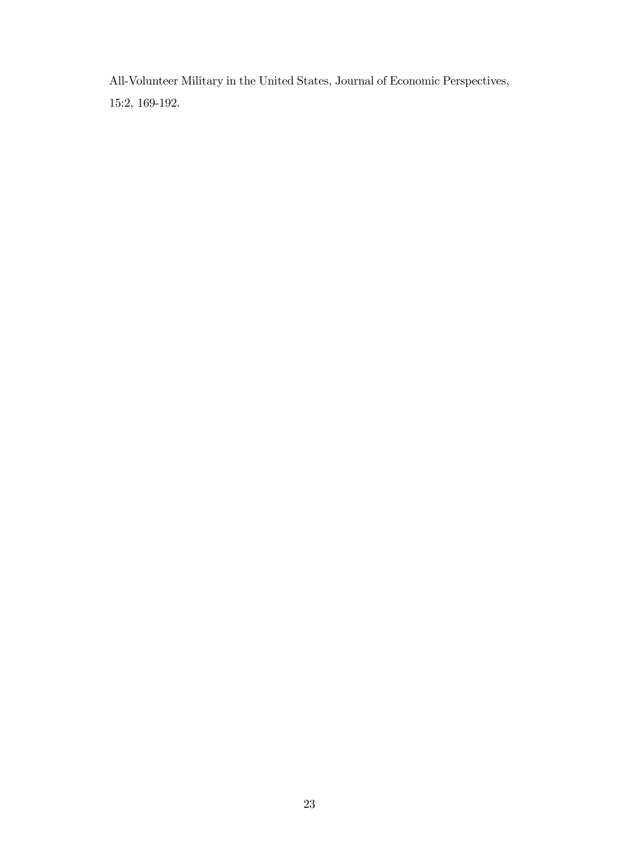All-Volunteer Military in the United States, Journal of Economic Perspectives, 15:2, 169-192.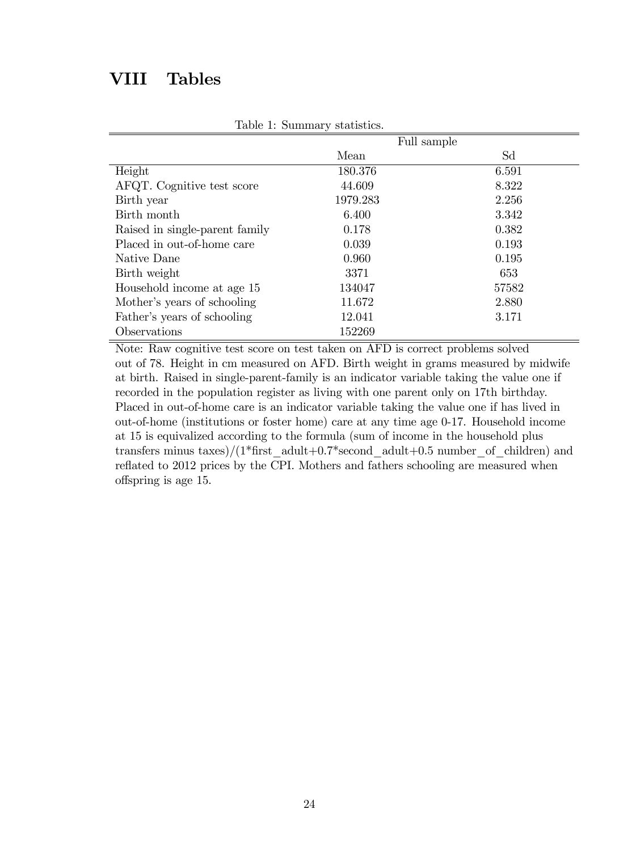# VIII Tables

|                                | Full sample |       |  |  |  |
|--------------------------------|-------------|-------|--|--|--|
|                                | Mean        | Sd    |  |  |  |
| Height                         | 180.376     | 6.591 |  |  |  |
| AFQT. Cognitive test score     | 44.609      | 8.322 |  |  |  |
| Birth year                     | 1979.283    | 2.256 |  |  |  |
| Birth month                    | 6.400       | 3.342 |  |  |  |
| Raised in single-parent family | 0.178       | 0.382 |  |  |  |
| Placed in out-of-home care     | 0.039       | 0.193 |  |  |  |
| Native Dane                    | 0.960       | 0.195 |  |  |  |
| Birth weight                   | 3371        | 653   |  |  |  |
| Household income at age 15     | 134047      | 57582 |  |  |  |
| Mother's years of schooling    | 11.672      | 2.880 |  |  |  |
| Father's years of schooling    | 12.041      | 3.171 |  |  |  |
| Observations                   | 152269      |       |  |  |  |

Table 1: Summary statistics.

Note: Raw cognitive test score on test taken on AFD is correct problems solved out of 78. Height in cm measured on AFD. Birth weight in grams measured by midwife at birth. Raised in single-parent-family is an indicator variable taking the value one if recorded in the population register as living with one parent only on 17th birthday. Placed in out-of-home care is an indicator variable taking the value one if has lived in out-of-home (institutions or foster home) care at any time age 0-17. Household income at 15 is equivalized according to the formula (sum of income in the household plus transfers minus taxes)/(1\*first\_adult+0.7\*second\_adult+0.5 number\_of\_children) and reflated to 2012 prices by the CPI. Mothers and fathers schooling are measured when o§spring is age 15.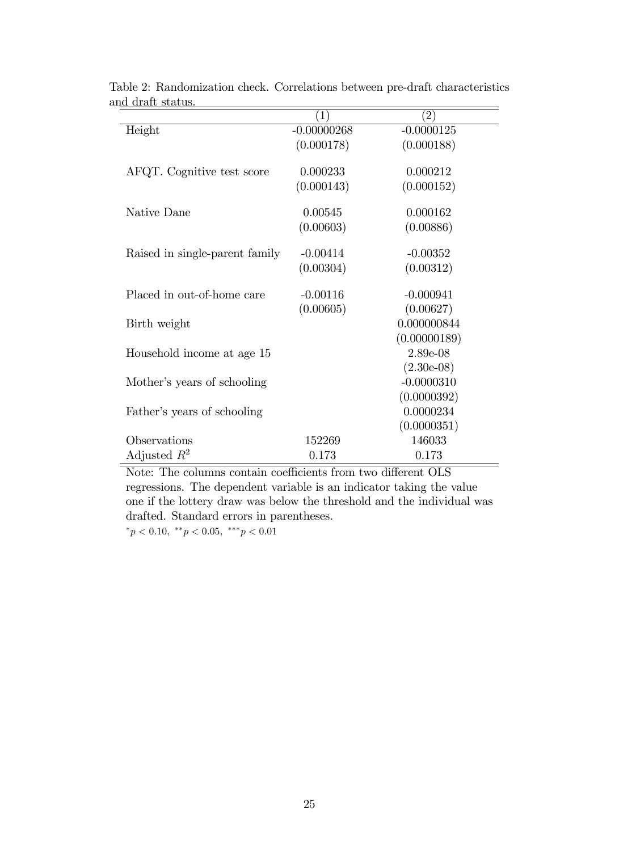| $\left( 1\right)$ | $\left( 2\right)$                              |
|-------------------|------------------------------------------------|
| $-0.00000268$     | $-0.0000125$                                   |
| (0.000178)        | (0.000188)                                     |
|                   |                                                |
|                   | 0.000212                                       |
|                   | (0.000152)                                     |
|                   | 0.000162                                       |
|                   | (0.00886)                                      |
|                   |                                                |
| $-0.00414$        | $-0.00352$                                     |
| (0.00304)         | (0.00312)                                      |
|                   |                                                |
| $-0.00116$        | $-0.000941$                                    |
| (0.00605)         | (0.00627)                                      |
|                   | 0.000000844                                    |
|                   | (0.00000189)                                   |
|                   | 2.89e-08                                       |
|                   | $(2.30e-0.8)$                                  |
|                   | $-0.0000310$                                   |
|                   | (0.0000392)                                    |
|                   | 0.0000234                                      |
|                   | (0.0000351)                                    |
| 152269            | 146033                                         |
| 0.173             | 0.173                                          |
|                   | 0.000233<br>(0.000143)<br>0.00545<br>(0.00603) |

Table 2: Randomization check. Correlations between pre-draft characteristics and draft status.  $\overline{ }$ 

Note: The columns contain coefficients from two different OLS regressions. The dependent variable is an indicator taking the value one if the lottery draw was below the threshold and the individual was drafted. Standard errors in parentheses.  $p < 0.10, \sqrt[3]{p} < 0.05, \sqrt[3]{p} < 0.01$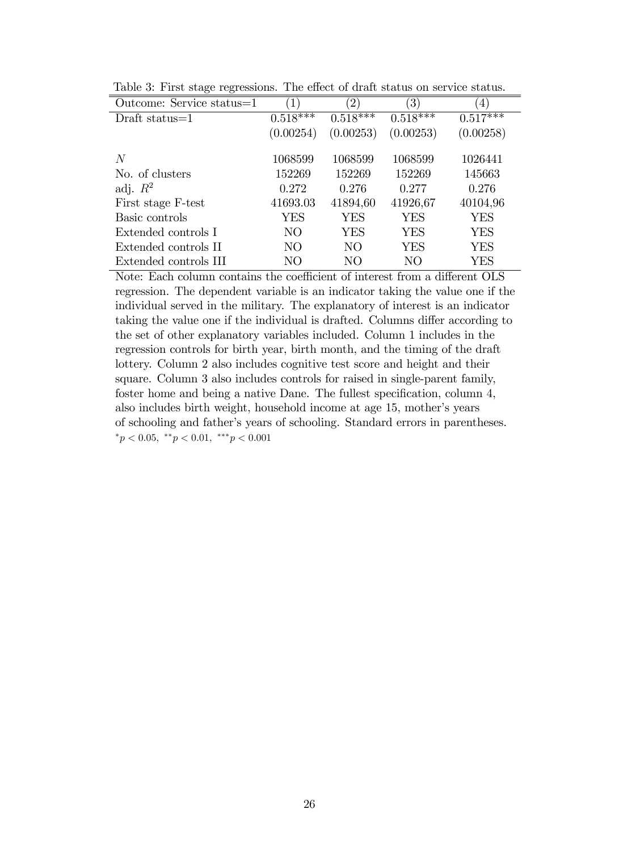| Outcome: Service status=1 | 1)                    | $\left(2\right)$ | $\left(3\right)$ | 4)                       |
|---------------------------|-----------------------|------------------|------------------|--------------------------|
| Draft status $=1$         | $0.5\overline{18***}$ | $0.518***$       | $0.518***$       | $0.51\overline{7^{***}}$ |
|                           | (0.00254)             | (0.00253)        | (0.00253)        | (0.00258)                |
|                           |                       |                  |                  |                          |
| N                         | 1068599               | 1068599          | 1068599          | 1026441                  |
| No. of clusters           | 152269                | 152269           | 152269           | 145663                   |
| adj. $R^2$                | 0.272                 | 0.276            | 0.277            | 0.276                    |
| First stage F-test        | 41693.03              | 41894,60         | 41926,67         | 40104,96                 |
| Basic controls            | YES                   | <b>YES</b>       | YES              | <b>YES</b>               |
| Extended controls I       | NO <sub>1</sub>       | <b>YES</b>       | YES              | YES                      |
| Extended controls II      | N <sub>O</sub>        | NO               | YES              | YES                      |
| Extended controls III     | NO                    | NО               | NO               | YES                      |

Table 3: First stage regressions. The effect of draft status on service status.

Note: Each column contains the coefficient of interest from a different OLS regression. The dependent variable is an indicator taking the value one if the individual served in the military. The explanatory of interest is an indicator taking the value one if the individual is drafted. Columns differ according to the set of other explanatory variables included. Column 1 includes in the regression controls for birth year, birth month, and the timing of the draft lottery. Column 2 also includes cognitive test score and height and their square. Column 3 also includes controls for raised in single-parent family, foster home and being a native Dane. The fullest specification, column 4, also includes birth weight, household income at age 15, mother's years of schooling and fatherís years of schooling. Standard errors in parentheses.  ${}^*p < 0.05, {}^*{}^*p < 0.01, {}^*{}^*p < 0.001$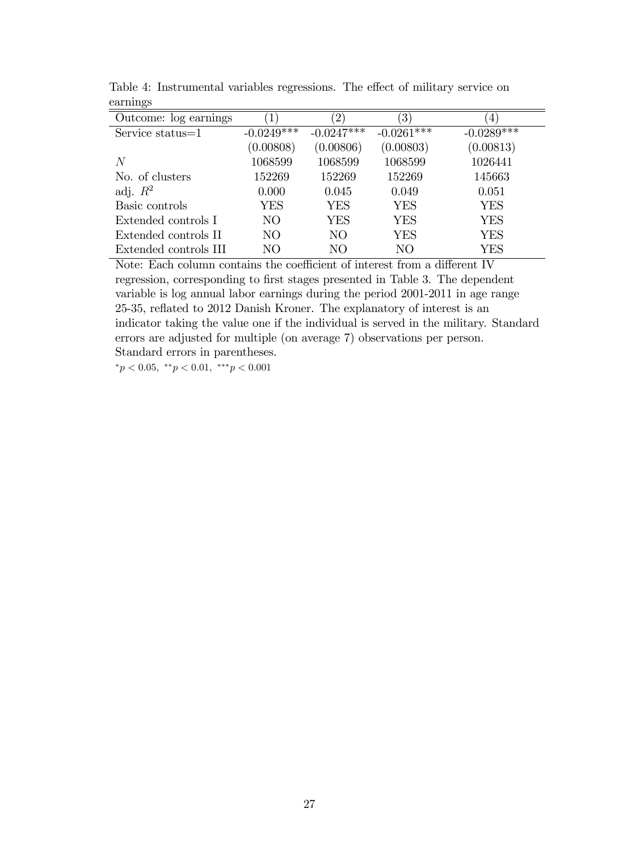| $\circ$<br>Outcome: log earnings |                | $\left 2\right\rangle$ | $\left(3\right)$ | 4            |
|----------------------------------|----------------|------------------------|------------------|--------------|
| Service status=1                 | $-0.0249$ ***  | $-0.0247***$           | $-0.0261***$     | $-0.0289***$ |
|                                  | (0.00808)      | (0.00806)              | (0.00803)        | (0.00813)    |
| N                                | 1068599        | 1068599                | 1068599          | 1026441      |
| No. of clusters                  | 152269         | 152269                 | 152269           | 145663       |
| adj. $R^2$                       | 0.000          | 0.045                  | 0.049            | 0.051        |
| Basic controls                   | YES            | YES                    | <b>YES</b>       | YES          |
| Extended controls I              | N <sub>O</sub> | YES                    | <b>YES</b>       | <b>YES</b>   |
| Extended controls II             | N <sub>O</sub> | NO                     | <b>YES</b>       | <b>YES</b>   |
| Extended controls III            | NО             | NO                     | NO               | YES          |

Table 4: Instrumental variables regressions. The effect of military service on earnings

Note: Each column contains the coefficient of interest from a different IV regression, corresponding to first stages presented in Table 3. The dependent variable is log annual labor earnings during the period 2001-2011 in age range 25-35, reflated to 2012 Danish Kroner. The explanatory of interest is an indicator taking the value one if the individual is served in the military. Standard errors are adjusted for multiple (on average 7) observations per person. Standard errors in parentheses.

 ${}^*p < 0.05, {}^*{}^*p < 0.01, {}^*{}^*p < 0.001$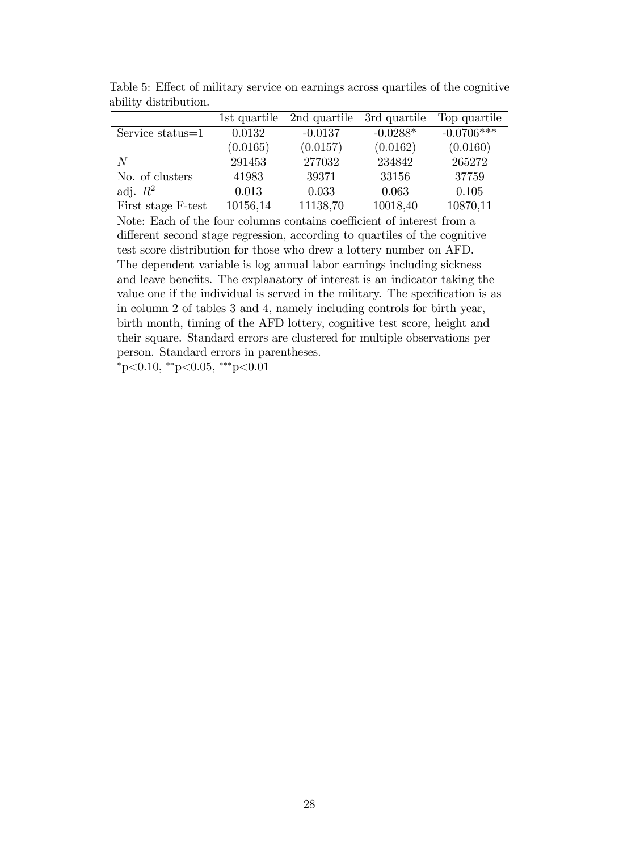|                     | 1st quartile | 2nd quartile | 3rd quartile | Top quartile |
|---------------------|--------------|--------------|--------------|--------------|
| Service status $=1$ | 0.0132       | $-0.0137$    | $-0.0288*$   | $-0.0706***$ |
|                     | (0.0165)     | (0.0157)     | (0.0162)     | (0.0160)     |
| N                   | 291453       | 277032       | 234842       | 265272       |
| No. of clusters     | 41983        | 39371        | 33156        | 37759        |
| adj. $R^2$          | 0.013        | 0.033        | 0.063        | 0.105        |
| First stage F-test  | 10156,14     | 11138,70     | 10018,40     | 10870,11     |

Table 5: Effect of military service on earnings across quartiles of the cognitive ability distribution.

Note: Each of the four columns contains coefficient of interest from a different second stage regression, according to quartiles of the cognitive test score distribution for those who drew a lottery number on AFD. The dependent variable is log annual labor earnings including sickness and leave benefits. The explanatory of interest is an indicator taking the value one if the individual is served in the military. The specification is as in column 2 of tables 3 and 4, namely including controls for birth year, birth month, timing of the AFD lottery, cognitive test score, height and their square. Standard errors are clustered for multiple observations per person. Standard errors in parentheses.

 $*_{\text{p}<0.10,*\text{*p}<0.05,*\text{*p}<0.01}$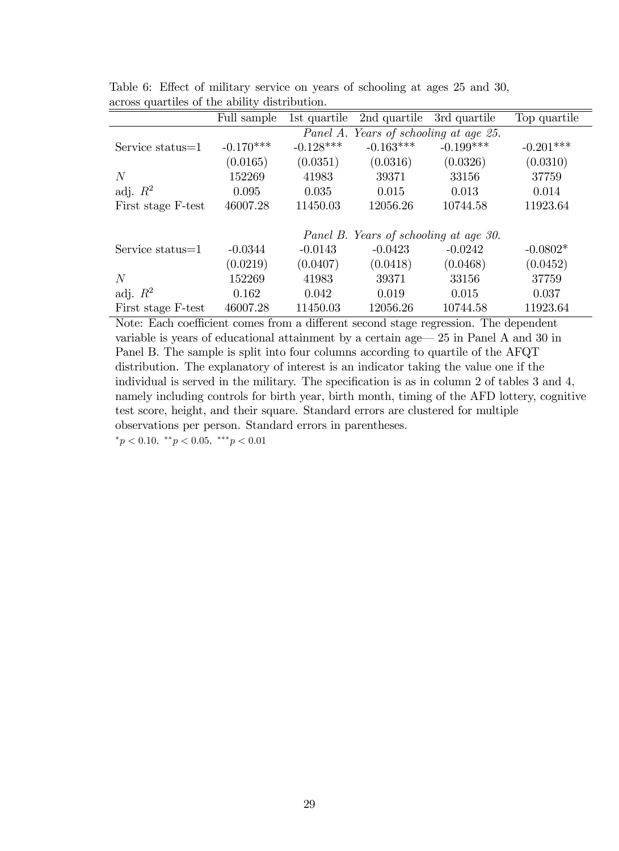|                     | Full sample                            | 1st quartile                           | 2nd quartile | 3rd quartile | Top quartile |  |  |
|---------------------|----------------------------------------|----------------------------------------|--------------|--------------|--------------|--|--|
|                     |                                        | Panel A. Years of schooling at age 25. |              |              |              |  |  |
| Service status=1    | $-0.170***$                            | $-0.128***$                            | $-0.163***$  | $-0.199***$  | $-0.201***$  |  |  |
|                     | (0.0165)                               | (0.0351)                               | (0.0316)     | (0.0326)     | (0.0310)     |  |  |
| N                   | 152269                                 | 41983                                  | 39371        | 33156        | 37759        |  |  |
| adj. $R^2$          | 0.095                                  | 0.035                                  | 0.015        | 0.013        | 0.014        |  |  |
| First stage F-test  | 46007.28                               | 11450.03                               | 12056.26     | 10744.58     | 11923.64     |  |  |
|                     | Panel B. Years of schooling at age 30. |                                        |              |              |              |  |  |
| Service status= $1$ | $-0.0344$                              | $-0.0143$                              | $-0.0423$    | $-0.0242$    | $-0.0802*$   |  |  |
|                     | (0.0219)                               | (0.0407)                               | (0.0418)     | (0.0468)     | (0.0452)     |  |  |
| N                   | 152269                                 | 41983                                  | 39371        | 33156        | 37759        |  |  |
| adj. $R^2$          | 0.162                                  | 0.042                                  | 0.019        | 0.015        | 0.037        |  |  |
| First stage F-test  | 46007.28                               | 11450.03                               | 12056.26     | 10744.58     | 11923.64     |  |  |

Table 6: Effect of military service on years of schooling at ages 25 and 30, across quartiles of the ability distribution.

Note: Each coefficient comes from a different second stage regression. The dependent variable is years of educational attainment by a certain age— $25$  in Panel A and 30 in Panel B. The sample is split into four columns according to quartile of the AFQT distribution. The explanatory of interest is an indicator taking the value one if the individual is served in the military. The specification is as in column 2 of tables  $3$  and  $4$ , namely including controls for birth year, birth month, timing of the AFD lottery, cognitive test score, height, and their square. Standard errors are clustered for multiple observations per person. Standard errors in parentheses.

 $*_{p} < 0.10, *_{p} < 0.05, *_{p} < 0.01$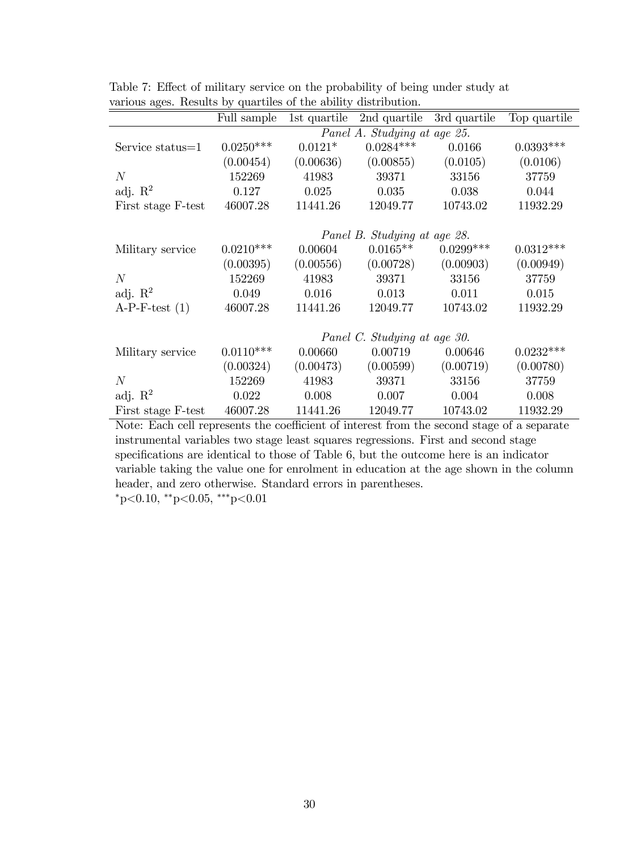| $\smile$            |             |                              |                              |              |              |  |  |  |
|---------------------|-------------|------------------------------|------------------------------|--------------|--------------|--|--|--|
|                     | Full sample | 1st quartile                 | 2nd quartile                 | 3rd quartile | Top quartile |  |  |  |
|                     |             | Panel A. Studying at age 25. |                              |              |              |  |  |  |
| Service status=1    | $0.0250***$ | $0.0121*$                    | $0.0284***$                  | 0.0166       | $0.0393***$  |  |  |  |
|                     | (0.00454)   | (0.00636)                    | (0.00855)                    | (0.0105)     | (0.0106)     |  |  |  |
| N                   | 152269      | 41983                        | 39371                        | 33156        | 37759        |  |  |  |
| adj. $\mathbb{R}^2$ | 0.127       | 0.025                        | 0.035                        | 0.038        | 0.044        |  |  |  |
| First stage F-test  | 46007.28    | 11441.26                     | 12049.77                     | 10743.02     | 11932.29     |  |  |  |
|                     |             |                              |                              |              |              |  |  |  |
|                     |             |                              | Panel B. Studying at age 28. |              |              |  |  |  |
| Military service    | $0.0210***$ | 0.00604                      | $0.0165**$                   | $0.0299***$  | $0.0312***$  |  |  |  |
|                     | (0.00395)   | (0.00556)                    | (0.00728)                    | (0.00903)    | (0.00949)    |  |  |  |
| N                   | 152269      | 41983                        | 39371                        | 33156        | 37759        |  |  |  |
| adj. $\mathbb{R}^2$ | 0.049       | 0.016                        | 0.013                        | 0.011        | 0.015        |  |  |  |
| $A-P-F-test (1)$    | 46007.28    | 11441.26                     | 12049.77                     | 10743.02     | 11932.29     |  |  |  |
|                     |             |                              |                              |              |              |  |  |  |
|                     |             |                              | Panel C. Studying at age 30. |              |              |  |  |  |
| Military service    | $0.0110***$ | 0.00660                      | 0.00719                      | 0.00646      | $0.0232***$  |  |  |  |
|                     | (0.00324)   | (0.00473)                    | (0.00599)                    | (0.00719)    | (0.00780)    |  |  |  |
| N                   | 152269      | 41983                        | 39371                        | 33156        | 37759        |  |  |  |
| adj. $\mathbb{R}^2$ | 0.022       | 0.008                        | 0.007                        | 0.004        | 0.008        |  |  |  |
| First stage F-test  | 46007.28    | 11441.26                     | 12049.77                     | 10743.02     | 11932.29     |  |  |  |

Table 7: Effect of military service on the probability of being under study at various ages. Results by quartiles of the ability distribution.

Note: Each cell represents the coefficient of interest from the second stage of a separate instrumental variables two stage least squares regressions. First and second stage specifications are identical to those of Table 6, but the outcome here is an indicator variable taking the value one for enrolment in education at the age shown in the column header, and zero otherwise. Standard errors in parentheses.

 $*_{\text{p}<0.10,*\text{*p}<0.05,*\text{*p}<0.01}$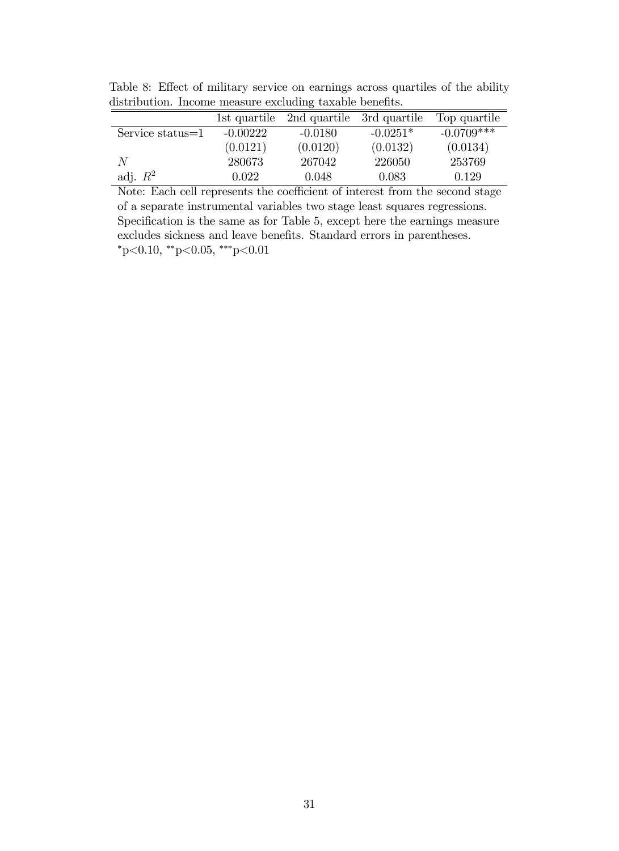|                  | 1st quartile | 2nd quartile | 3rd quartile | Top quartile |
|------------------|--------------|--------------|--------------|--------------|
| Service status=1 | $-0.00222$   | $-0.0180$    | $-0.0251*$   | $-0.0709***$ |
|                  | (0.0121)     | (0.0120)     | (0.0132)     | (0.0134)     |
| $\overline{N}$   | 280673       | 267042       | 226050       | 253769       |
| adj. $R^2$       | 0.022        | 0.048        | 0.083        | 0.129        |

Table 8: Effect of military service on earnings across quartiles of the ability distribution. Income measure excluding taxable benefits.

Note: Each cell represents the coefficient of interest from the second stage of a separate instrumental variables two stage least squares regressions. Specification is the same as for Table 5, except here the earnings measure excludes sickness and leave benefits. Standard errors in parentheses.  $*p<0.10$ ,  $*p<0.05$ ,  $**p<0.01$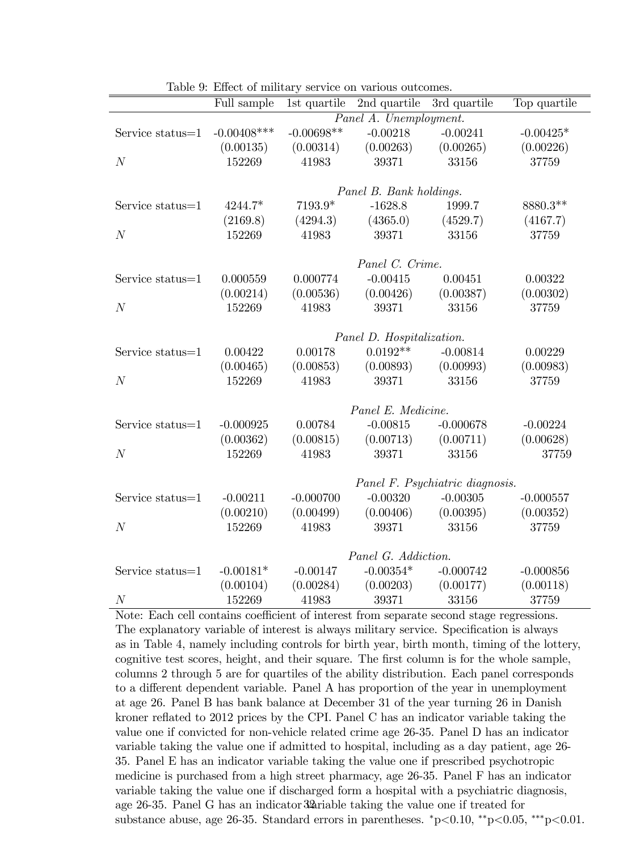|                  | Full sample    | 1st quartile | 2nd quartile              | 3rd quartile                    | Top quartile |  |  |
|------------------|----------------|--------------|---------------------------|---------------------------------|--------------|--|--|
|                  |                |              | Panel A. Unemployment.    |                                 |              |  |  |
| Service status=1 | $-0.00408$ *** | $-0.00698**$ | $-0.00218$                | $-0.00241$                      | $-0.00425*$  |  |  |
|                  | (0.00135)      | (0.00314)    | (0.00263)                 | (0.00265)                       | (0.00226)    |  |  |
| N                | 152269         | 41983        | 39371                     | 33156                           | 37759        |  |  |
|                  |                |              |                           |                                 |              |  |  |
|                  |                |              | Panel B. Bank holdings.   |                                 |              |  |  |
| Service status=1 | 4244.7*        | $7193.9*$    | $-1628.8$                 | 1999.7                          | 8880.3**     |  |  |
|                  | (2169.8)       | (4294.3)     | (4365.0)                  | (4529.7)                        | (4167.7)     |  |  |
| $\boldsymbol{N}$ | 152269         | 41983        | 39371                     | 33156                           | 37759        |  |  |
|                  |                |              |                           |                                 |              |  |  |
|                  |                |              | Panel C. Crime.           |                                 |              |  |  |
| Service status=1 | 0.000559       | 0.000774     | $-0.00415$                | 0.00451                         | 0.00322      |  |  |
|                  | (0.00214)      | (0.00536)    | (0.00426)                 | (0.00387)                       | (0.00302)    |  |  |
| N                | 152269         | 41983        | 39371                     | 33156                           | 37759        |  |  |
|                  |                |              |                           |                                 |              |  |  |
|                  |                |              | Panel D. Hospitalization. |                                 |              |  |  |
| Service status=1 | 0.00422        | 0.00178      | $0.0192**$                | $-0.00814$                      | 0.00229      |  |  |
|                  | (0.00465)      | (0.00853)    | (0.00893)                 | (0.00993)                       | (0.00983)    |  |  |
| N                | 152269         | 41983        | 39371                     | 33156                           | 37759        |  |  |
|                  |                |              |                           |                                 |              |  |  |
|                  |                |              | Panel E. Medicine.        |                                 |              |  |  |
| Service status=1 | $-0.000925$    | 0.00784      | $-0.00815$                | $-0.000678$                     | $-0.00224$   |  |  |
|                  | (0.00362)      | (0.00815)    | (0.00713)                 | (0.00711)                       | (0.00628)    |  |  |
| N                | 152269         | 41983        | 39371                     | 33156                           | 37759        |  |  |
|                  |                |              |                           |                                 |              |  |  |
|                  |                |              |                           | Panel F. Psychiatric diagnosis. |              |  |  |
| Service status=1 | $-0.00211$     | $-0.000700$  | $-0.00320$                | $-0.00305$                      | $-0.000557$  |  |  |
|                  | (0.00210)      | (0.00499)    | (0.00406)                 | (0.00395)                       | (0.00352)    |  |  |
| $\overline{N}$   | 152269         | 41983        | 39371                     | 33156                           | 37759        |  |  |
|                  |                |              |                           |                                 |              |  |  |
|                  |                |              | Panel G. Addiction.       |                                 |              |  |  |
| Service status=1 | $-0.00181*$    | $-0.00147$   | $-0.00354*$               | $-0.000742$                     | $-0.000856$  |  |  |
|                  | (0.00104)      | (0.00284)    | (0.00203)                 | (0.00177)                       | (0.00118)    |  |  |
| N                | 152269         | 41983        | 39371                     | 33156                           | 37759        |  |  |

Table 9: Effect of military service on various outcomes.

Note: Each cell contains coefficient of interest from separate second stage regressions. The explanatory variable of interest is always military service. Specification is always as in Table 4, namely including controls for birth year, birth month, timing of the lottery, cognitive test scores, height, and their square. The first column is for the whole sample, columns 2 through 5 are for quartiles of the ability distribution. Each panel corresponds to a different dependent variable. Panel A has proportion of the year in unemployment at age 26. Panel B has bank balance at December 31 of the year turning 26 in Danish kroner reflated to 2012 prices by the CPI. Panel C has an indicator variable taking the value one if convicted for non-vehicle related crime age 26-35. Panel D has an indicator variable taking the value one if admitted to hospital, including as a day patient, age 26- 35. Panel E has an indicator variable taking the value one if prescribed psychotropic medicine is purchased from a high street pharmacy, age 26-35. Panel F has an indicator variable taking the value one if discharged form a hospital with a psychiatric diagnosis, age  $26-35$ . Panel G has an indicator  $32$ ariable taking the value one if treated for substance abuse, age 26-35. Standard errors in parentheses. \*p<0.10, \*\*p<0.05, \*\*\*p<0.01.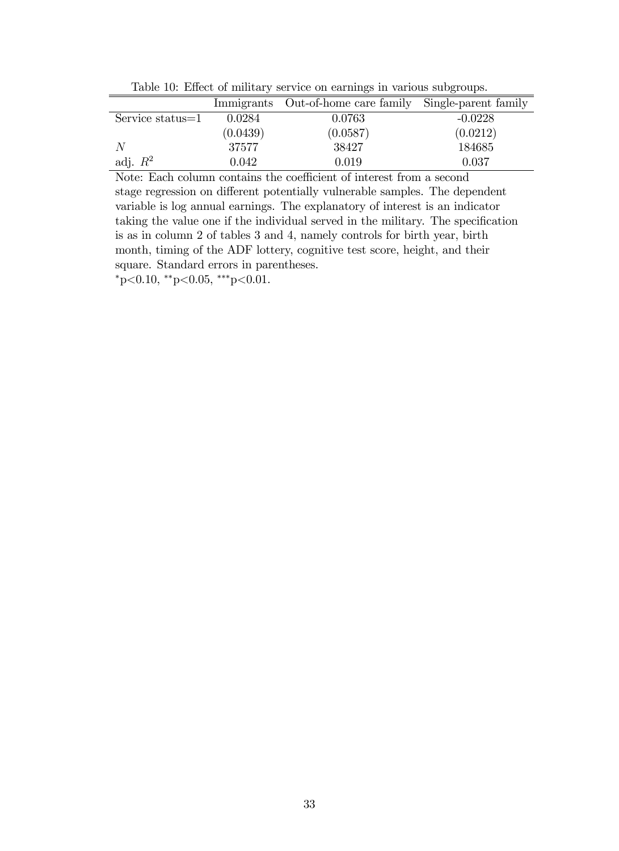Table 10: Effect of military service on earnings in various subgroups.

|                  |          | Immigrants Out-of-home care family Single-parent family |           |
|------------------|----------|---------------------------------------------------------|-----------|
| Service status=1 | 0.0284   | 0.0763                                                  | $-0.0228$ |
|                  | (0.0439) | (0.0587)                                                | (0.0212)  |
|                  | 37577    | 38427                                                   | 184685    |
| adj. $R^2$       | 0.042    | 0.019                                                   | 0.037     |

Note: Each column contains the coefficient of interest from a second stage regression on different potentially vulnerable samples. The dependent variable is log annual earnings. The explanatory of interest is an indicator taking the value one if the individual served in the military. The specification is as in column 2 of tables 3 and 4, namely controls for birth year, birth month, timing of the ADF lottery, cognitive test score, height, and their square. Standard errors in parentheses.

 $*_{p<0.10, *_{p<0.05, **_{p<0.01.}}$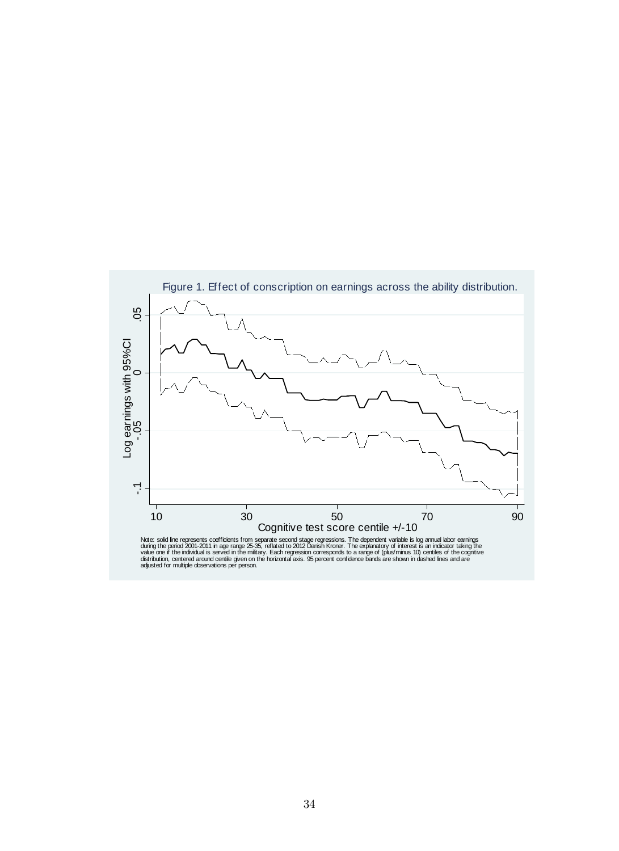

Note: solid line represents coefficients from separate second stage regressions. The dependent variable is log annual labor earnings<br>oluring the period 2001-2011 in age range 25-35, reflated to 2012 Danish Kroner. The expl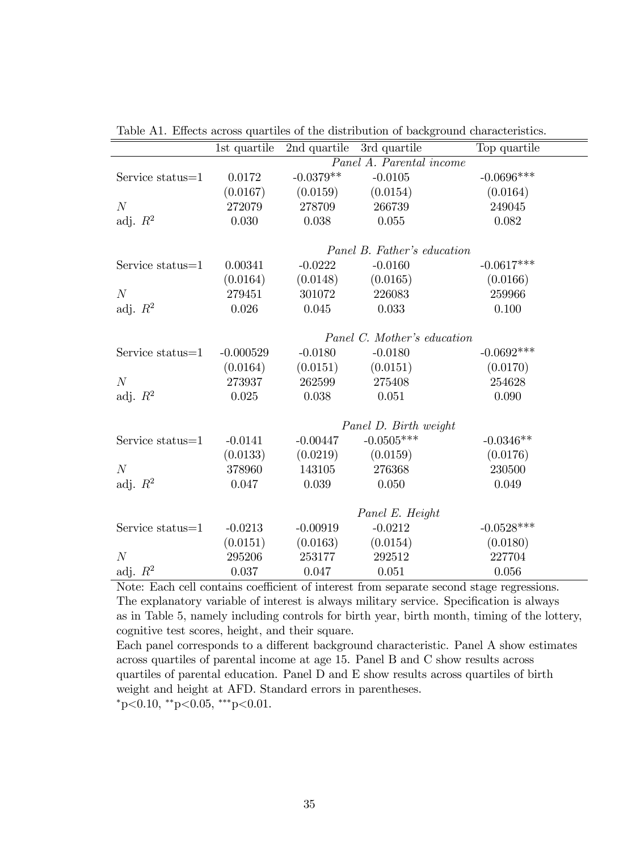|                  |                             | 1st quartile 2nd quartile 3rd quartile |                             | Top quartile |  |  |
|------------------|-----------------------------|----------------------------------------|-----------------------------|--------------|--|--|
|                  |                             |                                        | Panel A. Parental income    |              |  |  |
| Service status=1 | 0.0172                      | $-0.0379**$                            | $-0.0105$                   | $-0.0696***$ |  |  |
|                  | (0.0167)                    | (0.0159)                               | (0.0154)                    | (0.0164)     |  |  |
| $\cal N$         | 272079                      | 278709                                 | 266739                      | 249045       |  |  |
| adj. $R^2$       | 0.030                       | 0.038                                  | 0.055                       | 0.082        |  |  |
|                  |                             |                                        |                             |              |  |  |
|                  |                             |                                        | Panel B. Father's education |              |  |  |
| Service status=1 | 0.00341                     | $-0.0222$                              | $-0.0160$                   | $-0.0617***$ |  |  |
|                  | (0.0164)                    | (0.0148)                               | (0.0165)                    | (0.0166)     |  |  |
| N                | 279451                      | 301072                                 | 226083                      | 259966       |  |  |
| adj. $R^2$       | 0.026                       | 0.045                                  | 0.033                       | 0.100        |  |  |
|                  |                             |                                        |                             |              |  |  |
|                  | Panel C. Mother's education |                                        |                             |              |  |  |
| Service status=1 | $-0.000529$                 | $-0.0180$                              | $-0.0180$                   | $-0.0692***$ |  |  |
|                  | (0.0164)                    | (0.0151)                               | (0.0151)                    | (0.0170)     |  |  |
| N                | 273937                      | 262599                                 | 275408                      | 254628       |  |  |
| adj. $R^2$       | 0.025                       | 0.038                                  | 0.051                       | 0.090        |  |  |
|                  |                             |                                        |                             |              |  |  |
|                  |                             |                                        | Panel D. Birth weight       |              |  |  |
| Service status=1 | $-0.0141$                   | $-0.00447$                             | $-0.0505***$                | $-0.0346**$  |  |  |
|                  | (0.0133)                    | (0.0219)                               | (0.0159)                    | (0.0176)     |  |  |
| N                | 378960                      | 143105                                 | 276368                      | 230500       |  |  |
| adj. $R^2$       | 0.047                       | 0.039                                  | 0.050                       | 0.049        |  |  |
|                  |                             |                                        |                             |              |  |  |
|                  |                             |                                        | Panel E. Height             |              |  |  |
| Service status=1 | $-0.0213$                   | $-0.00919$                             | $-0.0212$                   | $-0.0528***$ |  |  |
|                  | (0.0151)                    | (0.0163)                               | (0.0154)                    | (0.0180)     |  |  |
| N                | 295206                      | 253177                                 | 292512                      | 227704       |  |  |
| adj. $R^2$       | 0.037                       | 0.047                                  | 0.051                       | 0.056        |  |  |

Table A1. Effects across quartiles of the distribution of background characteristics.

ċ

Note: Each cell contains coefficient of interest from separate second stage regressions. The explanatory variable of interest is always military service. Specification is always as in Table 5, namely including controls for birth year, birth month, timing of the lottery, cognitive test scores, height, and their square.

Each panel corresponds to a different background characteristic. Panel A show estimates across quartiles of parental income at age 15. Panel B and C show results across quartiles of parental education. Panel D and E show results across quartiles of birth weight and height at AFD. Standard errors in parentheses.  $*_{p<0.10,*_{p<0.05,*_{*p<0.01}}$ .